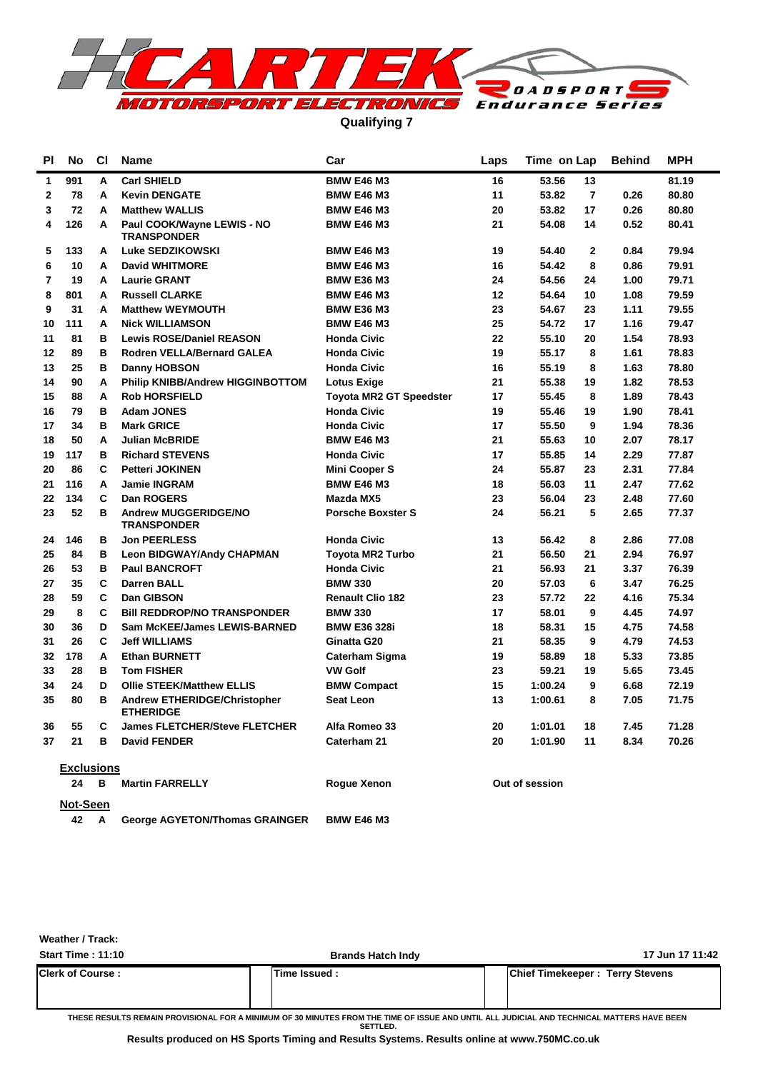

**Qualifying 7**

| <b>PI</b>    | No                | <b>CI</b> | <b>Name</b>                                             | Car                            | Laps | Time on Lap             | <b>Behind</b> | <b>MPH</b> |  |  |  |  |  |
|--------------|-------------------|-----------|---------------------------------------------------------|--------------------------------|------|-------------------------|---------------|------------|--|--|--|--|--|
| 1            | 991               | Α         | <b>Carl SHIELD</b>                                      | <b>BMW E46 M3</b>              | 16   | 53.56<br>13             |               | 81.19      |  |  |  |  |  |
| $\mathbf{2}$ | 78                | A         | <b>Kevin DENGATE</b>                                    | <b>BMW E46 M3</b>              | 11   | $\overline{7}$<br>53.82 | 0.26          | 80.80      |  |  |  |  |  |
| 3            | 72                | A         | <b>Matthew WALLIS</b>                                   | <b>BMW E46 M3</b>              | 20   | 53.82<br>17             | 0.26          | 80.80      |  |  |  |  |  |
| 4            | 126               | A         | Paul COOK/Wayne LEWIS - NO<br><b>TRANSPONDER</b>        | <b>BMW E46 M3</b>              | 21   | 54.08<br>14             | 0.52          | 80.41      |  |  |  |  |  |
| 5            | 133               | А         | Luke SEDZIKOWSKI                                        | <b>BMW E46 M3</b>              | 19   | $\overline{2}$<br>54.40 | 0.84          | 79.94      |  |  |  |  |  |
| 6            | 10                | A         | <b>David WHITMORE</b>                                   | <b>BMW E46 M3</b>              | 16   | 8<br>54.42              | 0.86          | 79.91      |  |  |  |  |  |
| 7            | 19                | А         | <b>Laurie GRANT</b>                                     | <b>BMW E36 M3</b>              | 24   | 54.56<br>24             | 1.00          | 79.71      |  |  |  |  |  |
| 8            | 801               | A         | <b>Russell CLARKE</b>                                   | <b>BMW E46 M3</b>              | 12   | 54.64<br>10             | 1.08          | 79.59      |  |  |  |  |  |
| 9            | 31                | A         | <b>Matthew WEYMOUTH</b>                                 | <b>BMW E36 M3</b>              | 23   | 54.67<br>23             | 1.11          | 79.55      |  |  |  |  |  |
| 10           | 111               | А         | <b>Nick WILLIAMSON</b>                                  | <b>BMW E46 M3</b>              | 25   | 54.72<br>17             | 1.16          | 79.47      |  |  |  |  |  |
| 11           | 81                | B         | <b>Lewis ROSE/Daniel REASON</b>                         | <b>Honda Civic</b>             | 22   | 55.10<br>20             | 1.54          | 78.93      |  |  |  |  |  |
| 12           | 89                | В         | Rodren VELLA/Bernard GALEA                              | <b>Honda Civic</b>             | 19   | 8<br>55.17              | 1.61          | 78.83      |  |  |  |  |  |
| 13           | 25                | в         | <b>Danny HOBSON</b>                                     | <b>Honda Civic</b>             | 16   | 55.19<br>8              | 1.63          | 78.80      |  |  |  |  |  |
| 14           | 90                | A         | <b>Philip KNIBB/Andrew HIGGINBOTTOM</b>                 | <b>Lotus Exige</b>             | 21   | 55.38<br>19             | 1.82          | 78.53      |  |  |  |  |  |
| 15           | 88                | А         | <b>Rob HORSFIELD</b>                                    | <b>Toyota MR2 GT Speedster</b> | 17   | 8<br>55.45              | 1.89          | 78.43      |  |  |  |  |  |
| 16           | 79                | в         | <b>Adam JONES</b>                                       | <b>Honda Civic</b>             | 19   | 55.46<br>19             | 1.90          | 78.41      |  |  |  |  |  |
| 17           | 34                | в         | <b>Mark GRICE</b>                                       | <b>Honda Civic</b>             | 17   | 55.50<br>9              | 1.94          | 78.36      |  |  |  |  |  |
| 18           | 50                | A         | <b>Julian McBRIDE</b>                                   | <b>BMW E46 M3</b>              | 21   | 55.63<br>10             | 2.07          | 78.17      |  |  |  |  |  |
| 19           | 117               | в         | <b>Richard STEVENS</b>                                  | <b>Honda Civic</b>             | 17   | 55.85<br>14             | 2.29          | 77.87      |  |  |  |  |  |
| 20           | 86                | C         | <b>Petteri JOKINEN</b>                                  | <b>Mini Cooper S</b>           | 24   | 55.87<br>23             | 2.31          | 77.84      |  |  |  |  |  |
| 21           | 116               | A         | <b>Jamie INGRAM</b>                                     | <b>BMW E46 M3</b>              | 18   | 11<br>56.03             | 2.47          | 77.62      |  |  |  |  |  |
| 22           | 134               | C         | <b>Dan ROGERS</b>                                       | Mazda MX5                      | 23   | 56.04<br>23             | 2.48          | 77.60      |  |  |  |  |  |
| 23           | 52                | в         | Andrew MUGGERIDGE/NO<br><b>TRANSPONDER</b>              | <b>Porsche Boxster S</b>       | 24   | 56.21<br>5              | 2.65          | 77.37      |  |  |  |  |  |
| 24           | 146               | в         | <b>Jon PEERLESS</b>                                     | <b>Honda Civic</b>             | 13   | 8<br>56.42              | 2.86          | 77.08      |  |  |  |  |  |
| 25           | 84                | в         | <b>Leon BIDGWAY/Andy CHAPMAN</b>                        | <b>Toyota MR2 Turbo</b>        | 21   | 56.50<br>21             | 2.94          | 76.97      |  |  |  |  |  |
| 26           | 53                | в         | <b>Paul BANCROFT</b>                                    | <b>Honda Civic</b>             | 21   | 56.93<br>21             | 3.37          | 76.39      |  |  |  |  |  |
| 27           | 35                | C         | <b>Darren BALL</b>                                      | <b>BMW 330</b>                 | 20   | 57.03<br>6              | 3.47          | 76.25      |  |  |  |  |  |
| 28           | 59                | C         | <b>Dan GIBSON</b>                                       | <b>Renault Clio 182</b>        | 23   | 57.72<br>22             | 4.16          | 75.34      |  |  |  |  |  |
| 29           | 8                 | C         | <b>BIII REDDROP/NO TRANSPONDER</b>                      | <b>BMW 330</b>                 | 17   | 9<br>58.01              | 4.45          | 74.97      |  |  |  |  |  |
| 30           | 36                | D         | Sam McKEE/James LEWIS-BARNED                            | <b>BMW E36 328i</b>            | 18   | 58.31<br>15             | 4.75          | 74.58      |  |  |  |  |  |
| 31           | 26                | C         | <b>Jeff WILLIAMS</b>                                    | Ginatta G20                    | 21   | 9<br>58.35              | 4.79          | 74.53      |  |  |  |  |  |
| 32           | 178               | A         | <b>Ethan BURNETT</b>                                    | <b>Caterham Sigma</b>          | 19   | 58.89<br>18             | 5.33          | 73.85      |  |  |  |  |  |
| 33           | 28                | в         | <b>Tom FISHER</b>                                       | <b>VW Golf</b>                 | 23   | 59.21<br>19             | 5.65          | 73.45      |  |  |  |  |  |
| 34           | 24                | D         | <b>Ollie STEEK/Matthew ELLIS</b>                        | <b>BMW Compact</b>             | 15   | 1:00.24<br>9            | 6.68          | 72.19      |  |  |  |  |  |
| 35           | 80                | в         | <b>Andrew ETHERIDGE/Christopher</b><br><b>ETHERIDGE</b> | <b>Seat Leon</b>               | 13   | 1:00.61<br>8            | 7.05          | 71.75      |  |  |  |  |  |
| 36           | 55                | C         | <b>James FLETCHER/Steve FLETCHER</b>                    | Alfa Romeo 33                  | 20   | 1:01.01<br>18           | 7.45          | 71.28      |  |  |  |  |  |
| 37           | 21                | B         | <b>David FENDER</b>                                     | Caterham 21                    | 20   | 1:01.90<br>11           | 8.34          | 70.26      |  |  |  |  |  |
|              | <b>Exclusions</b> |           |                                                         |                                |      |                         |               |            |  |  |  |  |  |
|              | 24                | B         | <b>Martin FARRELLY</b>                                  | <b>Rogue Xenon</b>             |      | Out of session          |               |            |  |  |  |  |  |
|              | Not-Seen          |           |                                                         |                                |      |                         |               |            |  |  |  |  |  |

**42 George AGYETON/Thomas GRAINGER BMW E46 M3 A**

**Weather / Track:** 

| <b>Start Time: 11:10</b> | <b>Brands Hatch Indy</b> |                                        | 17 Jun 17 11:42 |
|--------------------------|--------------------------|----------------------------------------|-----------------|
| <b>Clerk of Course:</b>  | Time Issued :            | <b>Chief Timekeeper: Terry Stevens</b> |                 |

**THESE RESULTS REMAIN PROVISIONAL FOR A MINIMUM OF 30 MINUTES FROM THE TIME OF ISSUE AND UNTIL ALL JUDICIAL AND TECHNICAL MATTERS HAVE BEEN SETTLED.**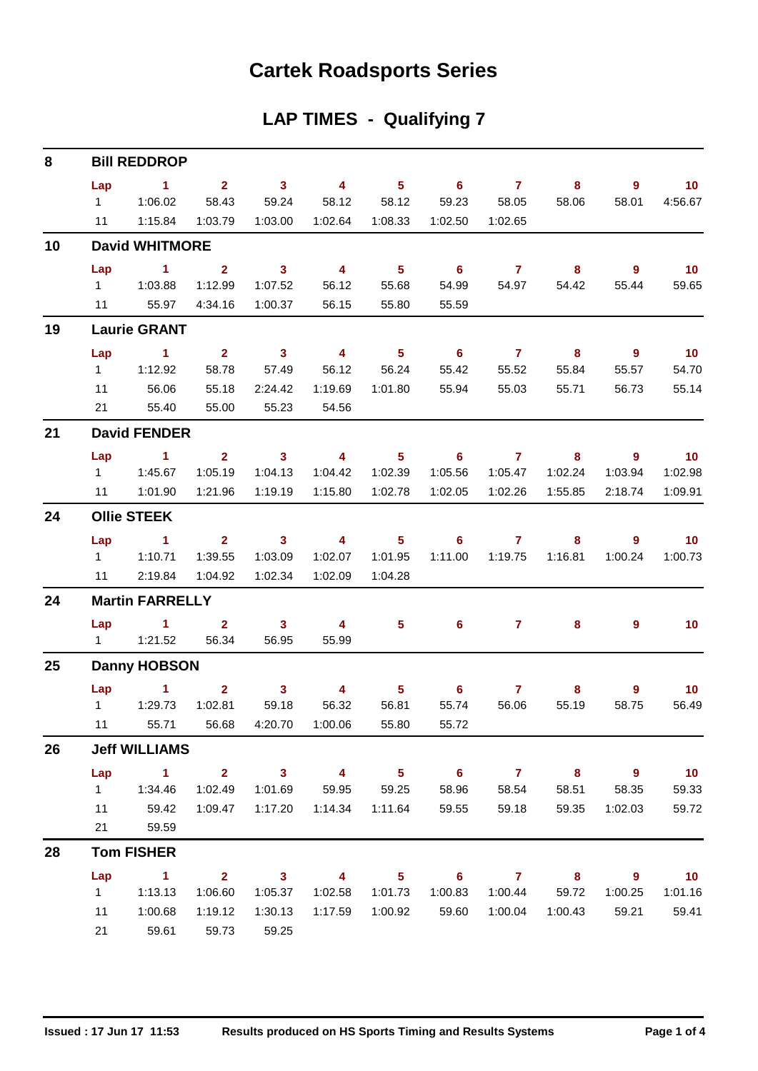### **Cartek Roadsports Series**

### **LAP TIMES - Qualifying 7**

| 8  |           | <b>Bill REDDROP</b>                |                         |                         |                         |                            |                            |                  |                            |                            |                             |
|----|-----------|------------------------------------|-------------------------|-------------------------|-------------------------|----------------------------|----------------------------|------------------|----------------------------|----------------------------|-----------------------------|
|    | Lap       | $\sim$ 1                           | $\overline{\mathbf{2}}$ | $\sim$ 3                | $\overline{\mathbf{4}}$ | 5 <sub>5</sub>             | $\overline{\phantom{a}}$ 6 | $\overline{7}$   | 8                          | $\overline{9}$             | $\blacksquare$ 10           |
|    |           |                                    | 58.43                   | 59.24                   | 58.12                   | 58.12                      | 59.23 58.05                |                  | 58.06                      | 58.01                      | 4:56.67                     |
|    |           | 11  1:15.84                        | 1:03.79                 | 1:03.00                 | 1:02.64  1:08.33        |                            | 1:02.50                    | 1:02.65          |                            |                            |                             |
| 10 |           | <b>David WHITMORE</b>              |                         |                         |                         |                            |                            |                  |                            |                            |                             |
|    | Lap       | $\sim$ 1.                          | $\overline{2}$          | $\overline{\mathbf{3}}$ | $\overline{\mathbf{4}}$ | 5 <sub>1</sub>             | $\overline{\phantom{0}}$ 6 | $\overline{7}$   | $\overline{\phantom{0}}$ 8 | $\overline{9}$             | 10                          |
|    |           |                                    | 1:12.99                 | 1:07.52                 | 56.12                   | 55.68                      | 54.99                      | 54.97            | 54.42                      | 55.44                      | 59.65                       |
|    |           | 11 55.97                           | 4:34.16                 | 1:00.37                 | 56.15                   | 55.80                      | 55.59                      |                  |                            |                            |                             |
| 19 |           | <b>Laurie GRANT</b>                |                         |                         |                         |                            |                            |                  |                            |                            |                             |
|    | Lap       | $\sim$ $\sim$ $\sim$ $\sim$ $\sim$ | $\overline{\mathbf{2}}$ | $\overline{\mathbf{3}}$ | $\overline{\mathbf{4}}$ | $\overline{\phantom{1}}$ 5 | $\overline{\phantom{a}}$ 6 | $\overline{7}$   | $\overline{\mathbf{8}}$    | $\overline{\phantom{a}}$   | 10                          |
|    |           | 1 1:12.92                          | 58.78                   | 57.49                   | 56.12                   | 56.24                      | 55.42                      | 55.52            | 55.84                      | 55.57                      | 54.70                       |
|    | 11        | 56.06                              | 55.18                   | 2:24.42                 | 1:19.69                 | 1:01.80                    | 55.94                      | 55.03            | 55.71                      | 56.73                      | 55.14                       |
|    |           | 21 55.40                           | 55.00                   | 55.23                   | 54.56                   |                            |                            |                  |                            |                            |                             |
| 21 |           | <b>David FENDER</b>                |                         |                         |                         |                            |                            |                  |                            |                            |                             |
|    |           | Lap 1                              | $\overline{\mathbf{2}}$ |                         | $3 \t 4$                | $\overline{\phantom{1}}$ 5 |                            | 67               | $\overline{\mathbf{8}}$    | - 9                        | $\blacksquare$ 10           |
|    |           |                                    | 1:05.19                 | 1:04.13                 | 1:04.42                 | 1:02.39                    | 1:05.56                    | 1:05.47          | 1:02.24                    | 1:03.94                    | 1:02.98                     |
|    |           | 11  1:01.90                        | 1:21.96                 | 1:19.19                 | 1:15.80                 | 1:02.78                    | 1:02.05                    | 1:02.26          | 1:55.85                    | 2:18.74                    | 1:09.91                     |
| 24 |           | <b>Ollie STEEK</b>                 |                         |                         |                         |                            |                            |                  |                            |                            |                             |
|    | Lap       | $\sim$ $\sim$ 1                    | $2^{\circ}$             | $\overline{\mathbf{3}}$ | $\overline{4}$          | 5 <sub>5</sub>             | 6                          | $\overline{7}$   | 8                          | $\overline{9}$             | $\overline{\phantom{0}}$ 10 |
|    |           | 1 1:10.71                          | 1:39.55                 | 1:03.09                 | 1:02.07                 | 1:01.95                    | 1:11.00                    | 1:19.75          | 1:16.81                    | 1:00.24                    | 1:00.73                     |
|    |           | 11 2:19.84                         | 1:04.92                 | 1:02.34                 | 1:02.09                 | 1:04.28                    |                            |                  |                            |                            |                             |
| 24 |           | <b>Martin FARRELLY</b>             |                         |                         |                         |                            |                            |                  |                            |                            |                             |
|    |           | $Lap$ 1 2                          |                         | $\overline{\mathbf{3}}$ | $\sim$ 4                | 5.                         |                            | $6 \overline{7}$ | 8.                         | 9                          | 10                          |
|    |           | 1   1:21.52   56.34                |                         | 56.95                   | 55.99                   |                            |                            |                  |                            |                            |                             |
| 25 |           | <b>Danny HOBSON</b>                |                         |                         |                         |                            |                            |                  |                            |                            |                             |
|    |           | $Lap$ 1                            | $\overline{2}$          | 3 <sup>1</sup>          | $\overline{4}$          | 5 <sup>5</sup>             | $6^{\circ}$                | $\mathbf{7}$     | 8                          | $\overline{9}$             | 10                          |
|    |           |                                    | 1:02.81                 | 59.18                   | 56.32                   | 56.81                      | 55.74                      | 56.06            | 55.19                      | 58.75                      | 56.49                       |
|    | $11 - 1$  | 55.71                              | 56.68                   | 4:20.70                 | 1:00.06                 | 55.80                      | 55.72                      |                  |                            |                            |                             |
| 26 |           | <b>Jeff WILLIAMS</b>               |                         |                         |                         |                            |                            |                  |                            |                            |                             |
|    |           | Lap 1 2 3 4 5 6 7 8 9              |                         |                         |                         |                            |                            |                  |                            |                            | $\blacksquare$ 10           |
|    |           | 1   1:34.46                        | 1:02.49                 |                         | 1:01.69   59.95   59.25 |                            | 58.96                      | 58.54            |                            | 58.51 58.35                | 59.33                       |
|    |           | 11 59.42                           | 1:09.47                 |                         |                         |                            | 59.55                      | 59.18            | 59.35                      | 1:02.03                    | 59.72                       |
|    | 21        | 59.59                              |                         |                         |                         |                            |                            |                  |                            |                            |                             |
| 28 |           | <b>Tom FISHER</b>                  |                         |                         |                         |                            |                            |                  |                            |                            |                             |
|    | Lap       | $\sim$ $-1$                        |                         | $2 \t 3 \t 4$           |                         |                            | $5 \t\t 6 \t\t 7 \t\t 8$   |                  |                            | $\overline{\phantom{a}}$ 9 | $\overline{10}$             |
|    | $1 \quad$ | 1:13.13                            | 1:06.60                 | 1:05.37                 | 1:02.58                 | 1:01.73                    | 1:00.83                    |                  | 1:00.44 59.72              | 1:00.25                    | 1:01.16                     |
|    | 11        | 1:00.68                            | 1:19.12                 | 1:30.13                 |                         |                            | 59.60                      |                  | 1:00.04  1:00.43  59.21    |                            | 59.41                       |
|    | 21        | 59.61                              | 59.73                   | 59.25                   |                         |                            |                            |                  |                            |                            |                             |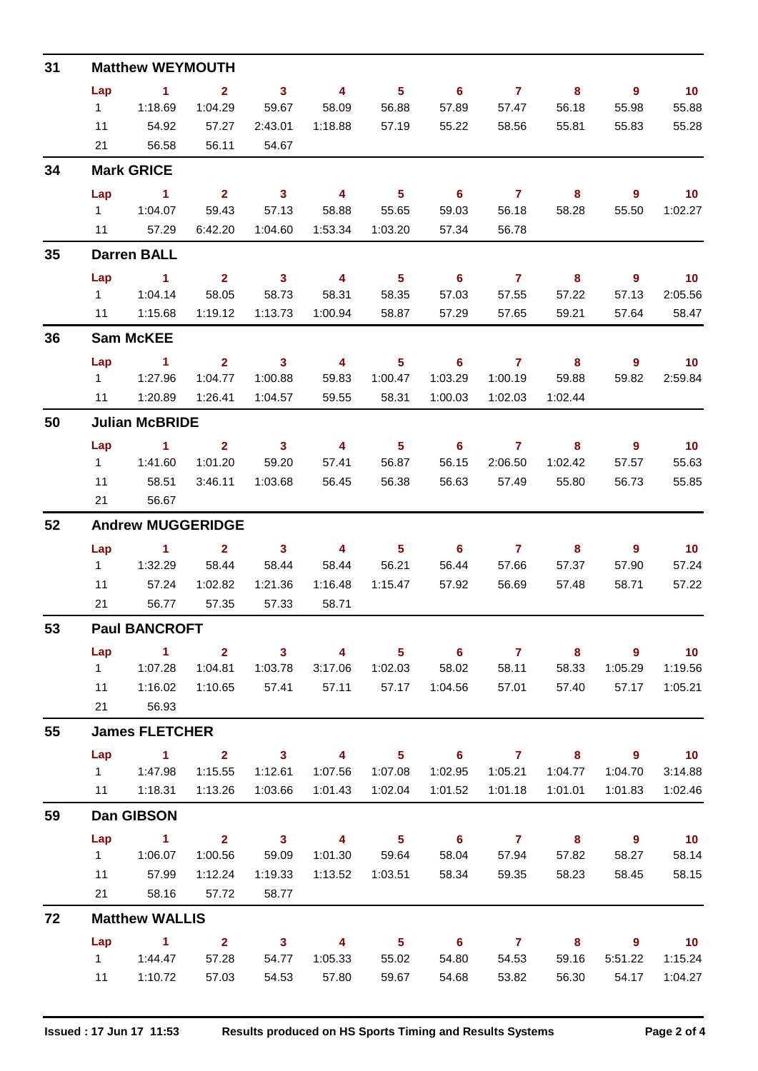| 31 |           | <b>Matthew WEYMOUTH</b>  |                           |                            |                                  |                            |                                       |                           |                                  |                                   |                            |
|----|-----------|--------------------------|---------------------------|----------------------------|----------------------------------|----------------------------|---------------------------------------|---------------------------|----------------------------------|-----------------------------------|----------------------------|
|    | Lap       | $\sim$ 1                 | 2 <sup>1</sup>            | 3 <sup>1</sup>             | $\overline{\mathbf{4}}$          | 5 <sup>5</sup>             | $\overline{\phantom{0}}$ 6            | $\overline{7}$            | 8                                | $\overline{\phantom{a}}$          | 10                         |
|    | $1 \quad$ | 1:18.69                  | 1:04.29                   | 59.67                      | 58.09                            | 56.88                      | 57.89                                 | 57.47                     | 56.18                            | 55.98                             | 55.88                      |
|    | 11        | 54.92                    | 57.27                     | 2:43.01                    | 1:18.88                          | 57.19                      | 55.22                                 | 58.56                     | 55.81                            | 55.83                             | 55.28                      |
|    | 21        | 56.58                    | 56.11                     | 54.67                      |                                  |                            |                                       |                           |                                  |                                   |                            |
| 34 |           | <b>Mark GRICE</b>        |                           |                            |                                  |                            |                                       |                           |                                  |                                   |                            |
|    | Lap       | $\sim$ 1                 | $\overline{\mathbf{2}}$   | $\overline{\mathbf{3}}$    | $\overline{4}$                   | $\overline{\phantom{0}}$ 5 | $\overline{\phantom{0}}$ 6            | $\overline{7}$            | $\overline{\mathbf{8}}$          | $9^{\circ}$                       | 10                         |
|    |           |                          | 59.43                     | 57.13                      | 58.88                            | 55.65                      | 59.03                                 | 56.18                     | 58.28                            | 55.50                             | 1:02.27                    |
|    |           | 11 57.29                 | 6:42.20                   | 1:04.60                    | 1:53.34                          | 1:03.20                    | 57.34                                 | 56.78                     |                                  |                                   |                            |
| 35 |           | <b>Darren BALL</b>       |                           |                            |                                  |                            |                                       |                           |                                  |                                   |                            |
|    | Lap       | $\sim$ $\sim$ 1.         | $\overline{2}$            | $\overline{\mathbf{3}}$    | $\overline{4}$                   | $\overline{\phantom{0}}$ 5 | $\overline{\phantom{0}}$ 6            | $\overline{7}$            | $\overline{\mathbf{8}}$          | 9                                 | 10                         |
|    |           | 111:04.14                | 58.05                     | 58.73                      | 58.31                            | 58.35                      | 57.03                                 | 57.55                     | 57.22                            | 57.13<br>57.64                    | 2:05.56<br>58.47           |
|    |           | 11  1:15.68              | 1:19.12                   | 1:13.73                    | 1:00.94                          | 58.87                      | 57.29                                 | 57.65                     | 59.21                            |                                   |                            |
| 36 |           | <b>Sam McKEE</b>         |                           |                            |                                  |                            |                                       |                           |                                  |                                   |                            |
|    | Lap       | $\sim$ $-1$              | 2 <sup>7</sup><br>1:04.77 | $\sim$ 3<br>1:00.88        | $\overline{\mathbf{4}}$<br>59.83 | 5 <sub>1</sub><br>1:00.47  | $\overline{\phantom{0}}$ 6<br>1:03.29 | $\overline{7}$<br>1:00.19 | $\overline{\mathbf{8}}$<br>59.88 | $\overline{\phantom{a}}$<br>59.82 | $\overline{10}$<br>2:59.84 |
|    | 11        | 1:20.89                  | 1:26.41                   | 1:04.57                    | 59.55                            | 58.31                      | 1:00.03                               | 1:02.03                   | 1:02.44                          |                                   |                            |
| 50 |           | <b>Julian McBRIDE</b>    |                           |                            |                                  |                            |                                       |                           |                                  |                                   |                            |
|    |           | Lap 1                    | $\mathbf{2}$              | $\overline{\phantom{a}}$ 3 | $\overline{\mathbf{4}}$          | $\overline{\phantom{0}}$ 5 | $\overline{\phantom{0}}$ 6            | $\overline{7}$            | 8                                | $\overline{9}$                    | 10                         |
|    |           |                          | 1:01.20                   | 59.20                      | 57.41                            | 56.87                      | 56.15                                 | 2:06.50                   | 1:02.42                          | 57.57                             | 55.63                      |
|    | 11        | 58.51                    | 3:46.11                   | 1:03.68                    | 56.45                            | 56.38                      |                                       | 56.63 57.49               | 55.80                            | 56.73                             | 55.85                      |
|    | 21        | 56.67                    |                           |                            |                                  |                            |                                       |                           |                                  |                                   |                            |
| 52 |           | <b>Andrew MUGGERIDGE</b> |                           |                            |                                  |                            |                                       |                           |                                  |                                   |                            |
|    | Lap       | $\sim$ 1                 | $\overline{\mathbf{2}}$   | 3 <sup>1</sup>             | $\overline{\mathbf{4}}$          | $\overline{\phantom{0}}$ 5 | $\overline{\phantom{0}}$ 6            | $\overline{7}$            | 8                                | 9                                 | 10                         |
|    | $1 -$     | 1:32.29                  | 58.44 58.44               |                            | 58.44                            | 56.21                      | 56.44                                 | 57.66                     | 57.37                            | 57.90                             | 57.24                      |
|    | 11        | 57.24                    | 1:02.82                   | 1:21.36                    | 1:16.48                          | 1:15.47                    | 57.92                                 | 56.69                     | 57.48                            | 58.71                             | 57.22                      |
|    | 21        | 56.77                    | 57.35                     | 57.33                      | 58.71                            |                            |                                       |                           |                                  |                                   |                            |
| 53 |           | <b>Paul BANCROFT</b>     |                           |                            |                                  |                            |                                       |                           |                                  |                                   |                            |
|    | Lap       | $\sim$ 1                 | $\overline{2}$            | $3^{\circ}$                | $\overline{4}$                   | 5 <sub>1</sub>             | $6\overline{6}$                       | $\overline{7}$            | 8                                | 9                                 | $-10$                      |
|    | $1 \quad$ | 1:07.28<br>1:16.02       | 1:04.81                   | 1:03.78<br>57.41           | 3:17.06                          | 1:02.03                    | 58.02                                 | 58.11                     | 58.33<br>57.40                   | 1:05.29                           | 1:19.56                    |
|    | 11<br>21  | 56.93                    | 1:10.65                   |                            | 57.11                            | 57.17                      | 1:04.56                               | 57.01                     |                                  | 57.17                             | 1:05.21                    |
| 55 |           | <b>James FLETCHER</b>    |                           |                            |                                  |                            |                                       |                           |                                  |                                   |                            |
|    | Lap       | $\blacksquare$ 1         | $\overline{2}$            | $\overline{\mathbf{3}}$    | $\overline{4}$                   | 5 <sub>1</sub>             | $\overline{\phantom{a}}$ 6            | $\overline{7}$            | $\overline{\mathbf{8}}$          | - 9                               | $\overline{10}$            |
|    | $1 \quad$ | 1:47.98                  | 1:15.55                   | 1:12.61                    | 1:07.56                          | 1:07.08                    | 1:02.95                               | 1:05.21                   | 1:04.77                          | 1:04.70                           | 3:14.88                    |
|    | 11        | 1:18.31                  | 1:13.26                   | 1:03.66                    | 1:01.43                          | 1:02.04                    | 1:01.52                               | 1:01.18                   | 1:01.01                          | 1:01.83                           | 1:02.46                    |
| 59 |           | Dan GIBSON               |                           |                            |                                  |                            |                                       |                           |                                  |                                   |                            |
|    | Lap       | $\sim$ 1                 | 2 <sup>1</sup>            | $\overline{\mathbf{3}}$    | $\overline{4}$                   | $\overline{\phantom{0}}$ 5 | $\overline{\phantom{0}}$ 6            | $\overline{7}$            | 8 <sup>8</sup>                   | $\overline{\phantom{a}}$          | 10                         |
|    | $1 \quad$ | 1:06.07                  | 1:00.56                   | 59.09                      | 1:01.30                          | 59.64                      | 58.04                                 | 57.94                     | 57.82                            | 58.27                             | 58.14                      |
|    | 11        | 57.99                    | 1:12.24                   | 1:19.33                    | 1:13.52                          | 1:03.51                    | 58.34                                 | 59.35                     | 58.23                            | 58.45                             | 58.15                      |
|    | 21        | 58.16                    | 57.72                     | 58.77                      |                                  |                            |                                       |                           |                                  |                                   |                            |
| 72 |           | <b>Matthew WALLIS</b>    |                           |                            |                                  |                            |                                       |                           |                                  |                                   |                            |
|    | Lap       | $\sim$ 1                 | $\overline{2}$            | $\overline{\mathbf{3}}$    | $\overline{4}$                   | 5 <sup>5</sup>             | $\overline{\phantom{0}}$ 6            | $\overline{7}$            | 8                                | 9                                 | 10                         |
|    | $1 \quad$ | 1:44.47                  | 57.28                     | 54.77                      | 1:05.33                          | 55.02                      | 54.80                                 | 54.53                     | 59.16                            | 5:51.22                           | 1:15.24                    |
|    | 11        | 1:10.72                  | 57.03                     | 54.53                      | 57.80                            | 59.67                      | 54.68                                 | 53.82                     | 56.30                            | 54.17                             | 1:04.27                    |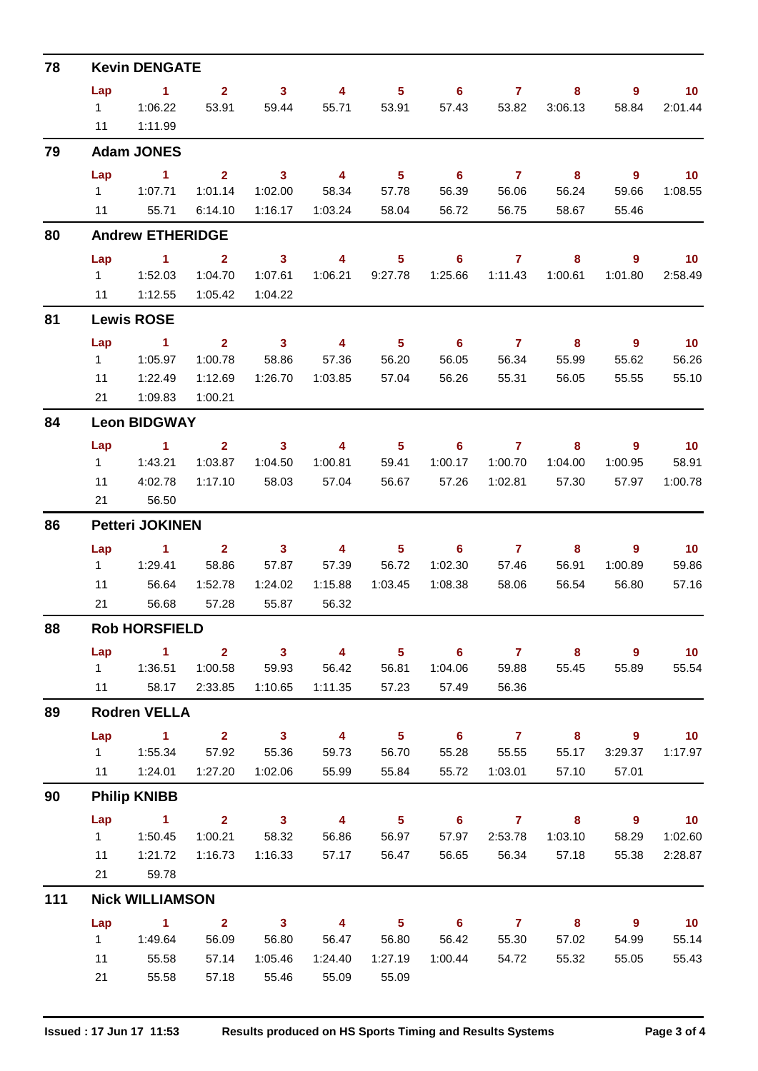| 78  |               | <b>Kevin DENGATE</b>    |                         |                         |                         |                            |                            |                       |                         |                          |                 |
|-----|---------------|-------------------------|-------------------------|-------------------------|-------------------------|----------------------------|----------------------------|-----------------------|-------------------------|--------------------------|-----------------|
|     | Lap           | $\mathbf 1$             | $\overline{2}$          | $\mathbf{3}$            | 4                       | 5 <sub>5</sub>             | 6                          | $\mathbf{7}$          | 8                       | 9                        | 10 <sub>1</sub> |
|     | $1 \quad$     | 1:06.22                 | 53.91                   | 59.44                   | 55.71                   | 53.91                      | 57.43                      | 53.82                 | 3:06.13                 | 58.84                    | 2:01.44         |
|     | 11            | 1:11.99                 |                         |                         |                         |                            |                            |                       |                         |                          |                 |
| 79  |               | <b>Adam JONES</b>       |                         |                         |                         |                            |                            |                       |                         |                          |                 |
|     | Lap           | 1                       | 2 <sup>1</sup>          | $\mathbf{3}$            | 4                       | 5 <sup>5</sup>             | 6                          | $\mathbf{7}$          | 8                       | 9                        | 10 <sup>°</sup> |
|     | $1 \quad$     | 1:07.71                 | 1:01.14                 | 1:02.00                 | 58.34                   | 57.78                      | 56.39                      | 56.06                 | 56.24                   | 59.66                    | 1:08.55         |
|     | 11            | 55.71                   | 6:14.10                 | 1:16.17                 | 1:03.24                 | 58.04                      | 56.72                      | 56.75                 | 58.67                   | 55.46                    |                 |
| 80  |               | <b>Andrew ETHERIDGE</b> |                         |                         |                         |                            |                            |                       |                         |                          |                 |
|     | Lap           | $\blacktriangleleft$    | $\mathbf{2}$            | 3                       | 4                       | 5                          | 6                          | $\mathbf{7}$          | 8                       | 9                        | 10              |
|     | $1 \quad$     | 1:52.03                 | 1:04.70                 | 1:07.61                 | 1:06.21                 | 9:27.78                    | 1:25.66                    | 1:11.43               | 1:00.61                 | 1:01.80                  | 2:58.49         |
|     | 11            | 1:12.55                 | 1:05.42                 | 1:04.22                 |                         |                            |                            |                       |                         |                          |                 |
| 81  |               | <b>Lewis ROSE</b>       |                         |                         |                         |                            |                            |                       |                         |                          |                 |
|     | Lap           | $\mathbf 1$             | $\mathbf{2}$            | $\mathbf{3}$            | 4                       | 5 <sub>5</sub>             | 6                          | $\mathbf{7}$          | 8                       | 9                        | 10              |
|     | 1             | 1:05.97                 | 1:00.78                 | 58.86                   | 57.36                   | 56.20                      | 56.05                      | 56.34                 | 55.99                   | 55.62                    | 56.26           |
|     | 11            | 1:22.49                 | 1:12.69                 | 1:26.70                 | 1:03.85                 | 57.04                      | 56.26                      | 55.31                 | 56.05                   | 55.55                    | 55.10           |
|     | 21            | 1:09.83                 | 1:00.21                 |                         |                         |                            |                            |                       |                         |                          |                 |
| 84  |               | <b>Leon BIDGWAY</b>     |                         |                         |                         |                            |                            |                       |                         |                          |                 |
|     | Lap           | $\blacktriangleleft$    | $\mathbf{2}$            | $\mathbf{3}$            | $\overline{4}$          | $5\phantom{.0}$            | 6                          | $\mathbf{7}$          | 8                       | 9                        | 10              |
|     | 1             | 1:43.21                 | 1:03.87                 | 1:04.50                 | 1:00.81                 | 59.41                      | 1:00.17                    | 1:00.70               | 1:04.00                 | 1:00.95                  | 58.91           |
|     | 11<br>21      | 4:02.78<br>56.50        | 1:17.10                 | 58.03                   | 57.04                   | 56.67                      | 57.26                      | 1:02.81               | 57.30                   | 57.97                    | 1:00.78         |
|     |               |                         |                         |                         |                         |                            |                            |                       |                         |                          |                 |
| 86  |               | <b>Petteri JOKINEN</b>  |                         |                         |                         |                            |                            |                       |                         |                          |                 |
|     | Lap<br>1      | 1.<br>1:29.41           | $\mathbf{2}$<br>58.86   | $\mathbf{3}$<br>57.87   | 4<br>57.39              | 5<br>56.72                 | 6<br>1:02.30               | $\mathbf{7}$<br>57.46 | 8<br>56.91              | 9<br>1:00.89             | 10<br>59.86     |
|     | 11            | 56.64                   | 1:52.78                 | 1:24.02                 | 1:15.88                 | 1:03.45                    | 1:08.38                    | 58.06                 | 56.54                   | 56.80                    | 57.16           |
|     | 21            | 56.68                   | 57.28                   | 55.87                   | 56.32                   |                            |                            |                       |                         |                          |                 |
| 88  |               | <b>Rob HORSFIELD</b>    |                         |                         |                         |                            |                            |                       |                         |                          |                 |
|     | Lap           | $\sim$ 1                | $\overline{\mathbf{2}}$ | $\overline{\mathbf{3}}$ | $\overline{4}$          | 5 <sub>5</sub>             | $6^{\circ}$                | $\overline{7}$        | $\overline{\mathbf{8}}$ | $\overline{9}$           | $-10$           |
|     | $1 \quad$     | 1:36.51                 | 1:00.58                 | 59.93                   | 56.42                   | 56.81                      | 1:04.06                    | 59.88                 | 55.45                   | 55.89                    | 55.54           |
|     | $11$ and $11$ | 58.17                   | 2:33.85                 | 1:10.65                 | 1:11.35                 | 57.23                      | 57.49                      | 56.36                 |                         |                          |                 |
| 89  |               | <b>Rodren VELLA</b>     |                         |                         |                         |                            |                            |                       |                         |                          |                 |
|     | Lap           | $\sim$ 1                | $\overline{\mathbf{2}}$ | $\overline{\mathbf{3}}$ | $\overline{4}$          | $\overline{\phantom{a}}$ 5 | $\overline{\phantom{0}}$ 6 | $\overline{7}$        | $\overline{\mathbf{8}}$ | $9^{\circ}$              | 10              |
|     |               |                         | 57.92                   | 55.36                   | 59.73                   | 56.70                      | 55.28                      | 55.55                 | 55.17                   | 3:29.37                  | 1:17.97         |
|     |               | 11  1:24.01             | 1:27.20                 | 1:02.06                 | 55.99                   | 55.84                      | 55.72                      | 1:03.01               | 57.10                   | 57.01                    |                 |
| 90  |               | <b>Philip KNIBB</b>     |                         |                         |                         |                            |                            |                       |                         |                          |                 |
|     | Lap           | $\sim$ $-1$             | $2^{\circ}$             | $\overline{\mathbf{3}}$ | $\overline{4}$          | $\overline{\phantom{0}}$ 5 | $\overline{\phantom{a}}$ 6 | $\overline{7}$        | $\overline{\mathbf{8}}$ | $\overline{\phantom{a}}$ | 10              |
|     | $1 \quad$     | 1:50.45                 | 1:00.21                 | 58.32                   | 56.86                   | 56.97                      | 57.97                      | 2:53.78               | 1:03.10                 | 58.29                    | 1:02.60         |
|     | 11            | 1:21.72                 | 1:16.73                 | 1:16.33                 | 57.17                   | 56.47                      |                            | 56.65 56.34           | 57.18                   | 55.38                    | 2:28.87         |
|     | 21            | 59.78                   |                         |                         |                         |                            |                            |                       |                         |                          |                 |
| 111 |               | <b>Nick WILLIAMSON</b>  |                         |                         |                         |                            |                            |                       |                         |                          |                 |
|     | Lap           | $\sim$ 1                | $\overline{\mathbf{2}}$ | $\overline{\mathbf{3}}$ | $\overline{\mathbf{4}}$ | $\sqrt{5}$                 | $\overline{\phantom{a}}$ 6 | $\overline{7}$        | $\overline{\mathbf{8}}$ | $\overline{\phantom{a}}$ | 10              |
|     | $1 \quad$     | 1:49.64                 | 56.09                   | 56.80                   | 56.47                   | 56.80                      | 56.42                      | 55.30                 | 57.02                   | 54.99                    | 55.14           |
|     | 11            | 55.58                   | 57.14                   | 1:05.46                 | 1:24.40                 | 1:27.19                    | 1:00.44                    | 54.72                 | 55.32                   | 55.05                    | 55.43           |
|     | 21            | 55.58                   | 57.18                   | 55.46                   | 55.09                   | 55.09                      |                            |                       |                         |                          |                 |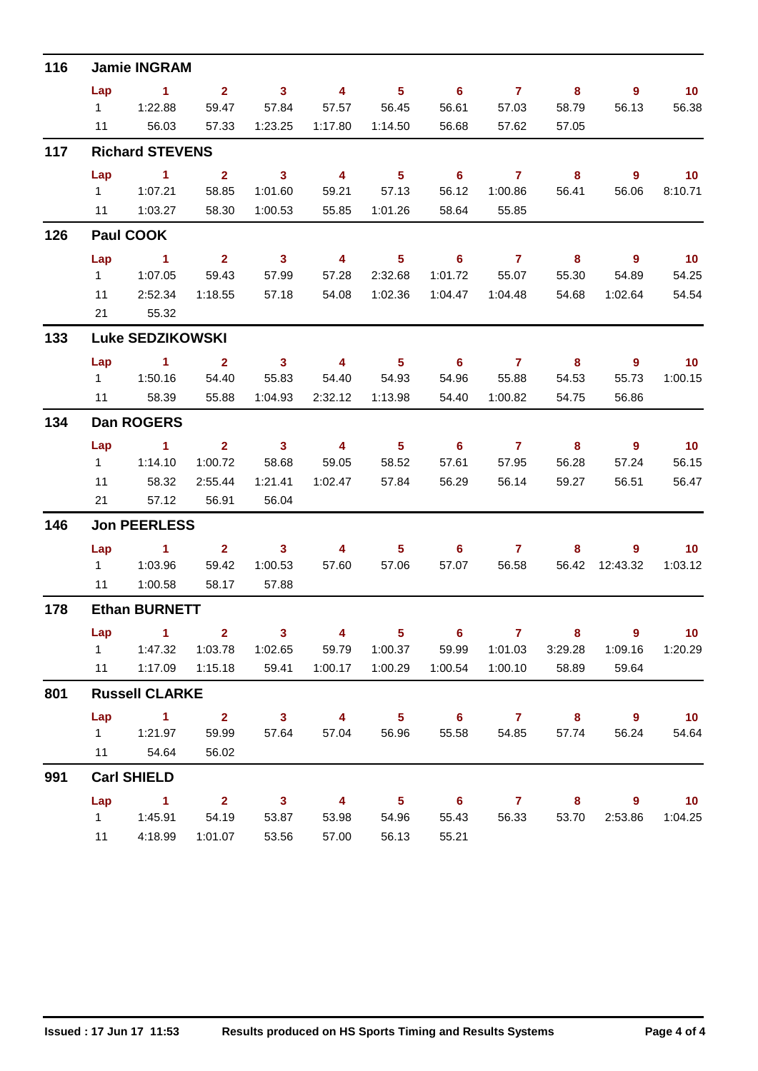| 116 |           | <b>Jamie INGRAM</b>     |                         |                         |                         |                            |                            |                |                         |                         |                   |
|-----|-----------|-------------------------|-------------------------|-------------------------|-------------------------|----------------------------|----------------------------|----------------|-------------------------|-------------------------|-------------------|
|     | Lap       | $\sim$ 1                | $\mathbf{2}$            | $\mathbf{3}$            | 4                       | 5 <sub>5</sub>             | $6^{\circ}$                | $\overline{7}$ | 8                       | 9                       | 10                |
|     | $1 \quad$ | 1:22.88                 | 59.47                   | 57.84                   | 57.57                   | 56.45                      | 56.61                      | 57.03          | 58.79                   | 56.13                   | 56.38             |
|     | 11        | 56.03                   | 57.33                   | 1:23.25                 | 1:17.80                 | 1:14.50                    | 56.68                      | 57.62          | 57.05                   |                         |                   |
| 117 |           | <b>Richard STEVENS</b>  |                         |                         |                         |                            |                            |                |                         |                         |                   |
|     | Lap       | $\mathbf{1}$            | $\mathbf{2}$            | $\mathbf{3}$            | 4                       | 5 <sub>5</sub>             | 6                          | $\overline{7}$ | 8                       | 9                       | 10                |
|     | $1 \quad$ | 1:07.21                 | 58.85                   | 1:01.60                 | 59.21                   | 57.13                      | 56.12                      | 1:00.86        | 56.41                   | 56.06                   | 8:10.71           |
|     | 11        | 1:03.27                 | 58.30                   | 1:00.53                 | 55.85                   | 1:01.26                    | 58.64                      | 55.85          |                         |                         |                   |
| 126 |           | Paul COOK               |                         |                         |                         |                            |                            |                |                         |                         |                   |
|     | Lap       | $\sim$ 1                | $\mathbf{2}$            | $\overline{\mathbf{3}}$ | $\overline{4}$          | 5                          | $\overline{\phantom{0}}$ 6 | $\overline{7}$ | 8                       | 9                       | 10                |
|     | $1 \quad$ | 1:07.05                 | 59.43                   | 57.99                   | 57.28                   | 2:32.68                    | 1:01.72                    | 55.07          | 55.30                   | 54.89                   | 54.25             |
|     | 11        | 2:52.34                 | 1:18.55                 | 57.18                   | 54.08                   | 1:02.36                    | 1:04.47                    | 1:04.48        | 54.68                   | 1:02.64                 | 54.54             |
|     | 21        | 55.32                   |                         |                         |                         |                            |                            |                |                         |                         |                   |
| 133 |           | <b>Luke SEDZIKOWSKI</b> |                         |                         |                         |                            |                            |                |                         |                         |                   |
|     | Lap       | $\sim$ 1                | $\mathbf{2}$            | $\overline{\mathbf{3}}$ | $\overline{4}$          | 5 <sup>5</sup>             | 6 <sup>6</sup>             | $\overline{7}$ | $\overline{\mathbf{8}}$ | 9                       | 10                |
|     | $1 \quad$ | 1:50.16                 | 54.40                   | 55.83                   | 54.40                   | 54.93                      | 54.96                      | 55.88          | 54.53                   | 55.73                   | 1:00.15           |
|     | 11        | 58.39                   | 55.88                   | 1:04.93                 | 2:32.12                 | 1:13.98                    | 54.40                      | 1:00.82        | 54.75                   | 56.86                   |                   |
| 134 |           | Dan ROGERS              |                         |                         |                         |                            |                            |                |                         |                         |                   |
|     | Lap       | $\sim$ 1                | $\overline{2}$          | $\mathbf{3}$            | $\overline{4}$          | 5 <sub>5</sub>             | 6                          | $\overline{7}$ | 8                       | $\overline{9}$          | 10                |
|     | $1 \quad$ | 1:14.10                 | 1:00.72                 | 58.68                   | 59.05                   | 58.52                      | 57.61                      | 57.95          | 56.28                   | 57.24                   | 56.15             |
|     | 11        | 58.32                   | 2:55.44                 | 1:21.41                 | 1:02.47                 | 57.84                      | 56.29                      | 56.14          | 59.27                   | 56.51                   | 56.47             |
|     | 21        | 57.12                   | 56.91                   | 56.04                   |                         |                            |                            |                |                         |                         |                   |
| 146 |           | <b>Jon PEERLESS</b>     |                         |                         |                         |                            |                            |                |                         |                         |                   |
|     | Lap       | $\sim$ 1                | $\mathbf{2}$            | 3                       | 4                       | $5\phantom{.0}$            | 6                          | $\mathbf{7}$   | 8                       | 9                       | 10 <sup>°</sup>   |
|     | $1 \quad$ | 1:03.96                 | 59.42                   | 1:00.53                 | 57.60                   | 57.06                      | 57.07                      | 56.58          | 56.42                   | 12:43.32                | 1:03.12           |
|     | 11        | 1:00.58                 | 58.17                   | 57.88                   |                         |                            |                            |                |                         |                         |                   |
| 178 |           | <b>Ethan BURNETT</b>    |                         |                         |                         |                            |                            |                |                         |                         |                   |
|     | Lap       | $\sim$ 1                |                         | $2 \t 3 \t 4$           |                         |                            | 5 6 7 8                    |                |                         | $\overline{\mathbf{9}}$ |                   |
|     |           | 1 1:47.32               | 1:03.78                 | 1:02.65                 | 59.79                   |                            | 1:00.37 59.99              | 1:01.03        | 3:29.28                 | 1:09.16                 | 1:20.29           |
|     |           | 11  1:17.09  1:15.18    |                         | 59.41                   | 1:00.17                 | 1:00.29                    | 1:00.54                    | 1:00.10        | 58.89                   | 59.64                   |                   |
| 801 |           | <b>Russell CLARKE</b>   |                         |                         |                         |                            |                            |                |                         |                         |                   |
|     | Lap       | $\sim$ $\sim$ 1.        | $\overline{\mathbf{2}}$ | $\overline{\mathbf{3}}$ |                         | $4 \qquad 5$               | $\overline{\phantom{a}}$ 6 | 7 8 9          |                         |                         | 10                |
|     |           |                         | 59.99                   | 57.64                   | 57.04                   | 56.96                      | 55.58                      | 54.85          | 57.74                   | 56.24                   | 54.64             |
|     |           | 11 54.64                | 56.02                   |                         |                         |                            |                            |                |                         |                         |                   |
| 991 |           | <b>Carl SHIELD</b>      |                         |                         |                         |                            |                            |                |                         |                         |                   |
|     | Lap       | $\sim$ $-1$             | $\overline{\mathbf{2}}$ | $\overline{\mathbf{3}}$ | $\overline{\mathbf{4}}$ | $\overline{\phantom{0}}$ 5 | $\overline{\phantom{0}}$ 6 |                | 7 8                     | - 9                     | $\blacksquare$ 10 |
|     |           |                         | 54.19                   | 53.87                   | 53.98                   | 54.96                      | 55.43                      | 56.33          | 53.70                   | 2:53.86                 | 1:04.25           |
|     | 11        | 4:18.99                 | 1:01.07                 | 53.56                   | 57.00                   | 56.13                      | 55.21                      |                |                         |                         |                   |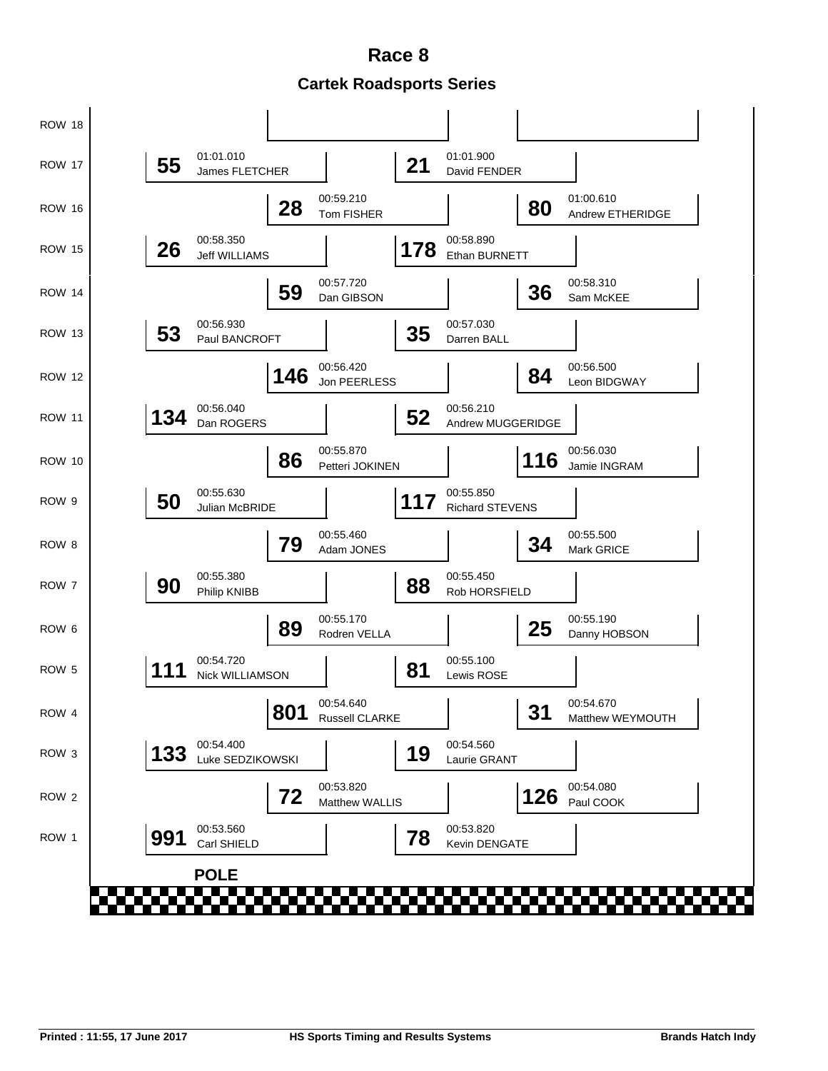**Cartek Roadsports Series Race 8**

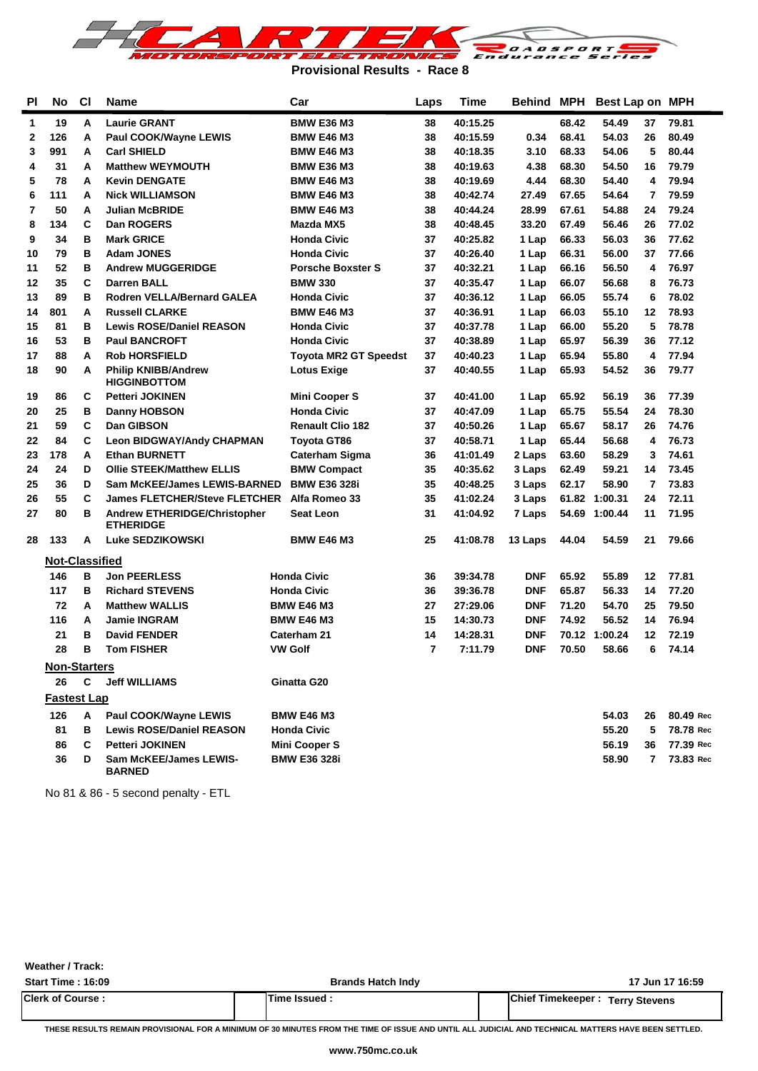

**Provisional Results - Race 8**

| <b>PI</b> | No                    | <b>CI</b> | <b>Name</b>                                       | Car                          | Laps | <b>Time</b> | Behind     | <b>MPH</b> | Best Lap on MPH |                |           |
|-----------|-----------------------|-----------|---------------------------------------------------|------------------------------|------|-------------|------------|------------|-----------------|----------------|-----------|
| 1         | 19                    | A         | <b>Laurie GRANT</b>                               | <b>BMW E36 M3</b>            | 38   | 40:15.25    |            | 68.42      | 54.49           | 37             | 79.81     |
| 2         | 126                   | A         | Paul COOK/Wayne LEWIS                             | <b>BMW E46 M3</b>            | 38   | 40:15.59    | 0.34       | 68.41      | 54.03           | 26             | 80.49     |
| 3         | 991                   | A         | <b>Carl SHIELD</b>                                | <b>BMW E46 M3</b>            | 38   | 40:18.35    | 3.10       | 68.33      | 54.06           | 5              | 80.44     |
| 4         | 31                    | A         | <b>Matthew WEYMOUTH</b>                           | <b>BMW E36 M3</b>            | 38   | 40:19.63    | 4.38       | 68.30      | 54.50           | 16             | 79.79     |
| 5         | 78                    | A         | <b>Kevin DENGATE</b>                              | <b>BMW E46 M3</b>            | 38   | 40:19.69    | 4.44       | 68.30      | 54.40           | 4              | 79.94     |
| 6         | 111                   | A         | <b>Nick WILLIAMSON</b>                            | <b>BMW E46 M3</b>            | 38   | 40:42.74    | 27.49      | 67.65      | 54.64           | $\overline{7}$ | 79.59     |
| 7         | 50                    | A         | <b>Julian McBRIDE</b>                             | <b>BMW E46 M3</b>            | 38   | 40:44.24    | 28.99      | 67.61      | 54.88           | 24             | 79.24     |
| 8         | 134                   | C         | Dan ROGERS                                        | Mazda MX5                    | 38   | 40:48.45    | 33.20      | 67.49      | 56.46           | 26             | 77.02     |
| 9         | 34                    | в         | <b>Mark GRICE</b>                                 | <b>Honda Civic</b>           | 37   | 40:25.82    | 1 Lap      | 66.33      | 56.03           | 36             | 77.62     |
| 10        | 79                    | в         | <b>Adam JONES</b>                                 | <b>Honda Civic</b>           | 37   | 40:26.40    | 1 Lap      | 66.31      | 56.00           | 37             | 77.66     |
| 11        | 52                    | в         | <b>Andrew MUGGERIDGE</b>                          | <b>Porsche Boxster S</b>     | 37   | 40:32.21    | 1 Lap      | 66.16      | 56.50           | 4              | 76.97     |
| 12        | 35                    | C         | <b>Darren BALL</b>                                | <b>BMW 330</b>               | 37   | 40:35.47    | 1 Lap      | 66.07      | 56.68           | 8              | 76.73     |
| 13        | 89                    | в         | <b>Rodren VELLA/Bernard GALEA</b>                 | <b>Honda Civic</b>           | 37   | 40:36.12    | 1 Lap      | 66.05      | 55.74           | 6              | 78.02     |
| 14        | 801                   | A         | <b>Russell CLARKE</b>                             | <b>BMW E46 M3</b>            | 37   | 40:36.91    | 1 Lap      | 66.03      | 55.10           | 12             | 78.93     |
| 15        | 81                    | в         | <b>Lewis ROSE/Daniel REASON</b>                   | <b>Honda Civic</b>           | 37   | 40:37.78    | 1 Lap      | 66.00      | 55.20           | 5              | 78.78     |
| 16        | 53                    | в         | <b>Paul BANCROFT</b>                              | <b>Honda Civic</b>           | 37   | 40:38.89    | 1 Lap      | 65.97      | 56.39           | 36             | 77.12     |
| 17        | 88                    | A         | <b>Rob HORSFIELD</b>                              | <b>Toyota MR2 GT Speedst</b> | 37   | 40:40.23    | 1 Lap      | 65.94      | 55.80           | 4              | 77.94     |
| 18        | 90                    | A         | <b>Philip KNIBB/Andrew</b><br><b>HIGGINBOTTOM</b> | <b>Lotus Exige</b>           | 37   | 40:40.55    | 1 Lap      | 65.93      | 54.52           | 36             | 79.77     |
| 19        | 86                    | C         | <b>Petteri JOKINEN</b>                            | <b>Mini Cooper S</b>         | 37   | 40:41.00    | 1 Lap      | 65.92      | 56.19           | 36             | 77.39     |
| 20        | 25                    | в         | <b>Danny HOBSON</b>                               | <b>Honda Civic</b>           | 37   | 40:47.09    | 1 Lap      | 65.75      | 55.54           | 24             | 78.30     |
| 21        | 59                    | C         | Dan GIBSON                                        | <b>Renault Clio 182</b>      | 37   | 40:50.26    | 1 Lap      | 65.67      | 58.17           | 26             | 74.76     |
| 22        | 84                    | C         | <b>Leon BIDGWAY/Andy CHAPMAN</b>                  | <b>Toyota GT86</b>           | 37   | 40:58.71    | 1 Lap      | 65.44      | 56.68           | 4              | 76.73     |
| 23        | 178                   | A         | <b>Ethan BURNETT</b>                              | <b>Caterham Sigma</b>        | 36   | 41:01.49    | 2 Laps     | 63.60      | 58.29           | 3              | 74.61     |
| 24        | 24                    | D         | <b>Ollie STEEK/Matthew ELLIS</b>                  | <b>BMW Compact</b>           | 35   | 40:35.62    | 3 Laps     | 62.49      | 59.21           | 14             | 73.45     |
| 25        | 36                    | D         | <b>Sam McKEE/James LEWIS-BARNED</b>               | <b>BMW E36 328i</b>          | 35   | 40:48.25    | 3 Laps     | 62.17      | 58.90           | 7              | 73.83     |
| 26        | 55                    | C         | <b>James FLETCHER/Steve FLETCHER</b>              | Alfa Romeo 33                | 35   | 41:02.24    | 3 Laps     |            | 61.82 1:00.31   | 24             | 72.11     |
| 27        | 80                    | в         | Andrew ETHERIDGE/Christopher<br><b>ETHERIDGE</b>  | Seat Leon                    | 31   | 41:04.92    | 7 Laps     | 54.69      | 1:00.44         | 11             | 71.95     |
| 28        | 133                   | A         | Luke SEDZIKOWSKI                                  | <b>BMW E46 M3</b>            | 25   | 41:08.78    | 13 Laps    | 44.04      | 54.59           | 21             | 79.66     |
|           | <b>Not-Classified</b> |           |                                                   |                              |      |             |            |            |                 |                |           |
|           | 146                   | в         | <b>Jon PEERLESS</b>                               | <b>Honda Civic</b>           | 36   | 39:34.78    | <b>DNF</b> | 65.92      | 55.89           | 12             | 77.81     |
|           | 117                   | в         | <b>Richard STEVENS</b>                            | <b>Honda Civic</b>           | 36   | 39:36.78    | <b>DNF</b> | 65.87      | 56.33           | 14             | 77.20     |
|           | 72                    | A         | <b>Matthew WALLIS</b>                             | <b>BMW E46 M3</b>            | 27   | 27:29.06    | <b>DNF</b> | 71.20      | 54.70           | 25             | 79.50     |
|           | 116                   | A         | <b>Jamie INGRAM</b>                               | <b>BMW E46 M3</b>            | 15   | 14:30.73    | <b>DNF</b> | 74.92      | 56.52           | 14             | 76.94     |
|           | 21                    | в         | <b>David FENDER</b>                               | Caterham 21                  | 14   | 14:28.31    | <b>DNF</b> |            | 70.12 1:00.24   | 12             | 72.19     |
|           | 28                    | в         | <b>Tom FISHER</b>                                 | <b>VW Golf</b>               | 7    | 7:11.79     | <b>DNF</b> | 70.50      | 58.66           | 6              | 74.14     |
|           | Non-Starters          |           |                                                   |                              |      |             |            |            |                 |                |           |
|           | 26                    | C         | <b>Jeff WILLIAMS</b>                              | Ginatta G20                  |      |             |            |            |                 |                |           |
|           | <b>Fastest Lap</b>    |           |                                                   |                              |      |             |            |            |                 |                |           |
|           | 126                   | A         | Paul COOK/Wayne LEWIS                             | <b>BMW E46 M3</b>            |      |             |            |            | 54.03           | 26             | 80.49 Rec |
|           | 81                    | в         | <b>Lewis ROSE/Daniel REASON</b>                   | <b>Honda Civic</b>           |      |             |            |            | 55.20           | 5              | 78.78 Rec |
|           | 86                    | C         | <b>Petteri JOKINEN</b>                            | <b>Mini Cooper S</b>         |      |             |            |            | 56.19           | 36             | 77.39 Rec |
|           | 36                    | D         | <b>Sam McKEE/James LEWIS-</b><br><b>BARNED</b>    | <b>BMW E36 328i</b>          |      |             |            |            | 58.90           | $\mathbf{7}$   | 73.83 Rec |

No 81 & 86 - 5 second penalty - ETL

**Weather / Track:** 

| <b>Start Time : 16:09</b> | <b>Brands Hatch Indy</b> | 17 Jun 17 16:59                         |
|---------------------------|--------------------------|-----------------------------------------|
| <b>Clerk of Course:</b>   | Time Issued              | <b>IChief Timekeeper: Terry Stevens</b> |

**THESE RESULTS REMAIN PROVISIONAL FOR A MINIMUM OF 30 MINUTES FROM THE TIME OF ISSUE AND UNTIL ALL JUDICIAL AND TECHNICAL MATTERS HAVE BEEN SETTLED.**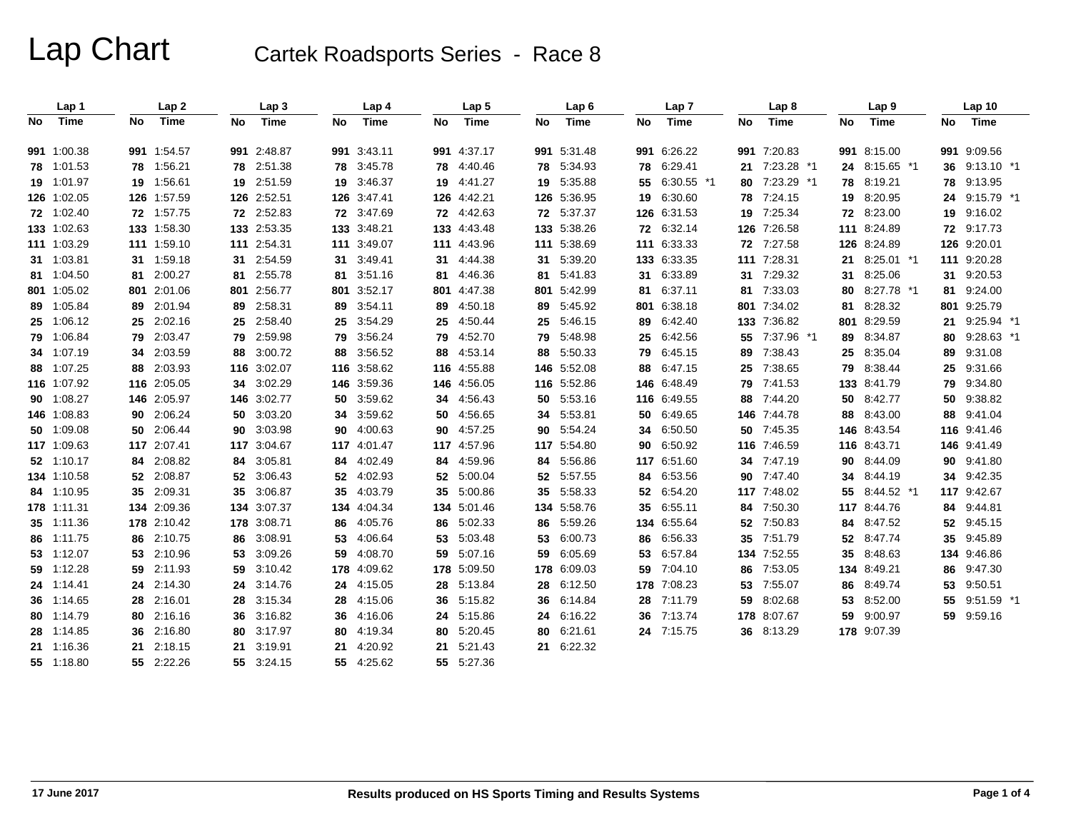|     | Lap 1       |    | Lap <sub>2</sub> |           | Lap 3       |           | Lap 4       |    | Lap <sub>5</sub> |     | Lap <sub>6</sub> |     | Lap <sub>7</sub> |     | Lap 8         |     | Lap <sub>9</sub> |    | Lap 10        |  |
|-----|-------------|----|------------------|-----------|-------------|-----------|-------------|----|------------------|-----|------------------|-----|------------------|-----|---------------|-----|------------------|----|---------------|--|
| No. | Time        | No | Time             | <b>No</b> | Time        | <b>No</b> | Time        | No | Time             | No  | Time             | No. | Time             | No. | Time          | No. | Time             | No | Time          |  |
|     | 991 1:00.38 |    | 991 1:54.57      |           | 991 2:48.87 | 991       | 3:43.11     |    | 991 4:37.17      |     | 991 5:31.48      |     | 991 6:26.22      |     | 991 7:20.83   |     | 991 8:15.00      |    | 991 9:09.56   |  |
|     | 78 1:01.53  |    | 78 1:56.21       | 78        | 2:51.38     | 78        | 3:45.78     |    | 78 4:40.46       | 78  | 5:34.93          |     | 78 6:29.41       | 21  | 7:23.28 *1    |     | 24 8:15.65 *1    | 36 | $9:13.10$ *1  |  |
|     | 19 1:01.97  |    | 19 1:56.61       |           | 19 2:51.59  | 19        | 3:46.37     |    | 19 4:41.27       | 19  | 5:35.88          |     | 55 6:30.55 *1    |     | 80 7:23.29 *1 | 78  | 8:19.21          | 78 | 9:13.95       |  |
|     | 126 1:02.05 |    | 126 1:57.59      |           | 126 2:52.51 | 126       | 3:47.41     |    | 126 4:42.21      |     | 126 5:36.95      |     | 19 6:30.60       | 78  | 7:24.15       | 19  | 8:20.95          | 24 | $9:15.79$ *1  |  |
|     | 72 1:02.40  |    | 72 1:57.75       |           | 72 2:52.83  | 72        | 3:47.69     |    | 72 4:42.63       |     | 72 5:37.37       |     | 126 6:31.53      | 19  | 7:25.34       |     | 72 8:23.00       |    | 19 9:16.02    |  |
|     | 133 1:02.63 |    | 133 1:58.30      |           | 133 2:53.35 |           | 133 3:48.21 |    | 133 4:43.48      |     | 133 5:38.26      |     | 72 6:32.14       |     | 126 7:26.58   |     | 111 8:24.89      |    | 72 9:17.73    |  |
|     | 111 1:03.29 |    | 111 1:59.10      |           | 111 2:54.31 |           | 111 3:49.07 |    | 111 4:43.96      |     | 111 5:38.69      |     | 111 6:33.33      |     | 72 7:27.58    |     | 126 8:24.89      |    | 126 9:20.01   |  |
|     | 31 1:03.81  |    | 31 1:59.18       | 31        | 2:54.59     | 31        | 3:49.41     |    | 31 4:44.38       | 31  | 5:39.20          |     | 133 6:33.35      |     | 111 7:28.31   |     | 21 8:25.01 *1    |    | 111 9:20.28   |  |
|     | 81 1:04.50  |    | 81 2:00.27       | 81        | 2:55.78     | 81        | 3:51.16     | 81 | 4:46.36          | 81  | 5:41.83          |     | 31 6:33.89       |     | 31 7:29.32    | 31  | 8:25.06          |    | 31 9:20.53    |  |
|     | 801 1:05.02 |    | 801 2:01.06      |           | 801 2:56.77 | 801       | 3:52.17     |    | 801 4:47.38      |     | 801 5:42.99      | 81  | 6:37.11          |     | 81 7:33.03    | 80  | 8:27.78 *1       |    | 81 9:24.00    |  |
|     | 89 1:05.84  |    | 89 2:01.94       | 89        | 2:58.31     | 89        | 3:54.11     | 89 | 4:50.18          | 89  | 5:45.92          |     | 801 6:38.18      |     | 801 7:34.02   | 81  | 8:28.32          |    | 801 9:25.79   |  |
|     | 25 1:06.12  |    | 25 2:02.16       | 25        | 2:58.40     | 25        | 3:54.29     | 25 | 4:50.44          | 25  | 5:46.15          |     | 89 6:42.40       |     | 133 7:36.82   |     | 801 8:29.59      |    | 21 9:25.94 *1 |  |
|     | 79 1:06.84  |    | 79 2:03.47       | 79        | 2:59.98     | 79        | 3:56.24     | 79 | 4:52.70          | 79  | 5:48.98          |     | 25 6:42.56       |     | 55 7:37.96 *1 | 89  | 8:34.87          | 80 | $9:28.63$ *1  |  |
|     | 34 1:07.19  |    | 34 2:03.59       | 88        | 3:00.72     | 88        | 3:56.52     | 88 | 4:53.14          | 88  | 5:50.33          |     | 79 6:45.15       |     | 89 7:38.43    |     | 25 8:35.04       | 89 | 9:31.08       |  |
|     | 88 1:07.25  |    | 88 2:03.93       |           | 116 3:02.07 |           | 116 3:58.62 |    | 116 4:55.88      |     | 146 5:52.08      |     | 88 6:47.15       |     | 25 7:38.65    |     | 79 8:38.44       |    | 25 9:31.66    |  |
|     | 116 1:07.92 |    | 116 2:05.05      | 34        | 3:02.29     | 146       | 3:59.36     |    | 146 4:56.05      |     | 116 5:52.86      |     | 146 6:48.49      |     | 79 7:41.53    |     | 133 8:41.79      |    | 79 9:34.80    |  |
|     | 90 1:08.27  |    | 146 2:05.97      |           | 146 3:02.77 | 50        | 3:59.62     |    | 34 4.56.43       | 50  | 5:53.16          |     | 116 6:49.55      | 88  | 7:44.20       |     | 50 8:42.77       | 50 | 9:38.82       |  |
|     | 146 1:08.83 |    | 90 2:06.24       | 50        | 3:03.20     | 34        | 3:59.62     | 50 | 4:56.65          | 34  | 5:53.81          | 50  | 6:49.65          |     | 146 7:44.78   | 88  | 8:43.00          | 88 | 9:41.04       |  |
|     | 50 1:09.08  |    | 50 2:06.44       | 90        | 3:03.98     | 90        | 4:00.63     | 90 | 4:57.25          | 90  | 5:54.24          | 34  | 6:50.50          |     | 50 7:45.35    |     | 146 8:43.54      |    | 116 9:41.46   |  |
|     | 117 1:09.63 |    | 117 2:07.41      |           | 117 3:04.67 |           | 117 4:01.47 |    | 117 4:57.96      |     | 117 5:54.80      | 90  | 6:50.92          |     | 116 7:46.59   |     | 116 8:43.71      |    | 146 9:41.49   |  |
|     | 52 1:10.17  | 84 | 2:08.82          | 84        | 3:05.81     | 84        | 4:02.49     | 84 | 4:59.96          | 84  | 5:56.86          |     | 117 6:51.60      |     | 34 7:47.19    | 90  | 8:44.09          | 90 | 9:41.80       |  |
|     | 134 1:10.58 |    | 52 2:08.87       | 52        | 3:06.43     | 52        | 4:02.93     | 52 | 5:00.04          | 52  | 5:57.55          | 84  | 6:53.56          |     | 90 7:47.40    | 34  | 8:44.19          | 34 | 9:42.35       |  |
|     | 84 1:10.95  | 35 | 2:09.31          | 35        | 3:06.87     | 35        | 4:03.79     | 35 | 5:00.86          | 35  | 5:58.33          |     | 52 6:54.20       |     | 117 7:48.02   | 55  | 8:44.52 *1       |    | 117 9:42.67   |  |
|     | 178 1:11.31 |    | 134 2:09.36      | 134       | 3:07.37     | 134       | 4:04.34     |    | 134 5:01.46      | 134 | 5:58.76          |     | 35 6:55.11       | 84  | 7:50.30       |     | 117 8:44.76      | 84 | 9:44.81       |  |
|     | 35 1:11.36  |    | 178 2:10.42      |           | 178 3:08.71 | 86        | 4:05.76     |    | 86 5:02.33       | 86  | 5:59.26          |     | 134 6:55.64      |     | 52 7:50.83    | 84  | 8:47.52          |    | 52 9:45.15    |  |
|     | 86 1:11.75  |    | 86 2:10.75       | 86        | 3:08.91     | 53        | 4:06.64     |    | 53 5:03.48       | 53  | 6:00.73          |     | 86 6:56.33       |     | 35 7:51.79    | 52  | 8:47.74          | 35 | 9:45.89       |  |
|     | 53 1:12.07  |    | 53 2:10.96       | 53        | 3:09.26     | 59        | 4:08.70     |    | 59 5:07.16       | 59  | 6:05.69          |     | 53 6:57.84       |     | 134 7:52.55   | 35  | 8:48.63          |    | 134 9:46.86   |  |
|     | 59 1:12.28  |    | 59 2:11.93       | 59.       | 3:10.42     | 178       | 4:09.62     |    | 178 5:09.50      |     | 178 6:09.03      |     | 59 7:04.10       | 86  | 7:53.05       |     | 134 8:49.21      | 86 | 9:47.30       |  |
|     | 24 1:14.41  |    | 24 2:14.30       | 24        | 3:14.76     | 24        | 4:15.05     |    | 28 5:13.84       | 28  | 6:12.50          |     | 178 7:08.23      | 53  | 7:55.07       | 86  | 8:49.74          | 53 | 9:50.51       |  |
|     | 36 1:14.65  |    | 28 2:16.01       | 28        | 3:15.34     | 28        | 4:15.06     |    | 36 5:15.82       | 36  | 6:14.84          |     | 28 7:11.79       | 59  | 8:02.68       | 53  | 8:52.00          | 55 | $9:51.59$ *1  |  |
|     | 80 1:14.79  |    | 80 2:16.16       | 36        | 3:16.82     | 36        | 4:16.06     |    | 24 5:15.86       | 24  | 6:16.22          |     | 36 7:13.74       |     | 178 8:07.67   | 59  | 9:00.97          |    | 59 9:59.16    |  |
|     | 28 1:14.85  |    | 36 2:16.80       | 80        | 3:17.97     | 80        | 4:19.34     |    | 80 5:20.45       | 80  | 6:21.61          |     | 24 7:15.75       |     | 36 8:13.29    |     | 178 9:07.39      |    |               |  |
|     | 21 1:16.36  |    | 21 2:18.15       | 21        | 3:19.91     | 21        | 4:20.92     | 21 | 5.21.43          |     | 21 6:22.32       |     |                  |     |               |     |                  |    |               |  |
|     | 55 1:18.80  |    | 55 2:22.26       |           | 55 3:24.15  | 55        | 4:25.62     |    | 55 5:27.36       |     |                  |     |                  |     |               |     |                  |    |               |  |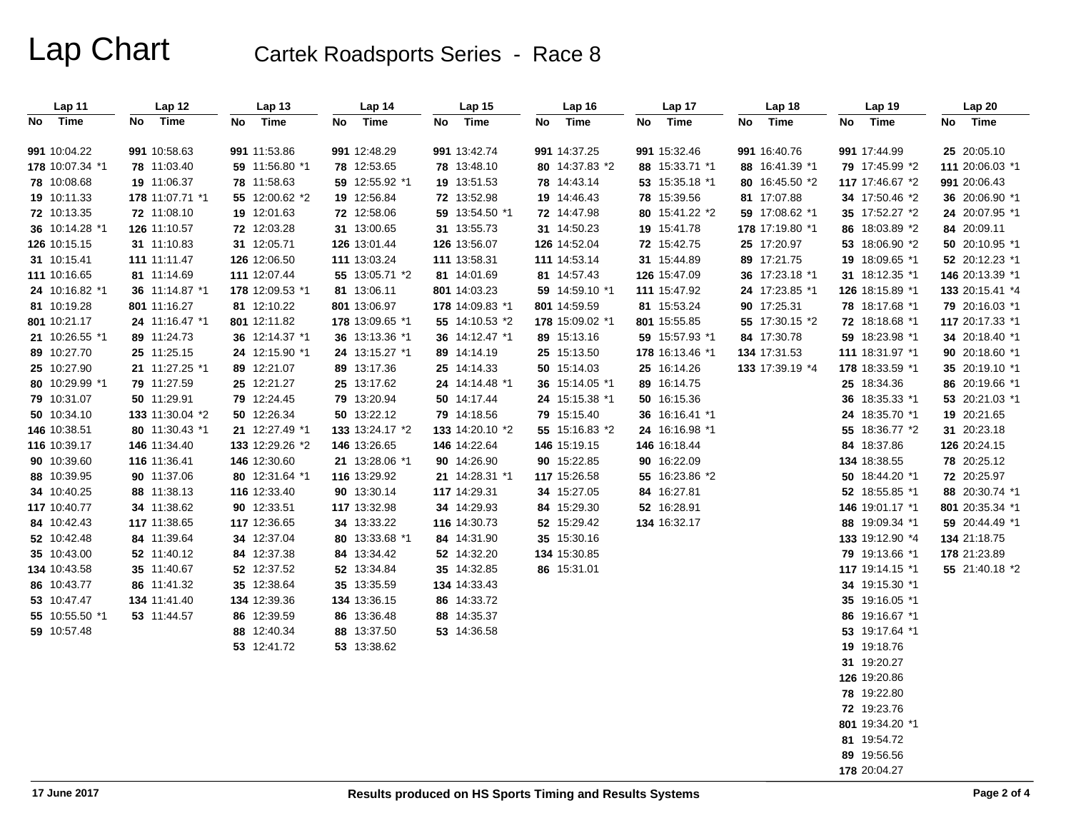| Lap 11          | Lap 12          | Lap <sub>13</sub> | Lap 14          | Lap <sub>15</sub> | Lap 16          | Lap 17          | Lap 18          | Lap 19          | Lap 20          |
|-----------------|-----------------|-------------------|-----------------|-------------------|-----------------|-----------------|-----------------|-----------------|-----------------|
| Time<br>No      | Time<br>No      | Time<br>No        | Time<br>No      | Time<br>No        | Time<br>No      | Time<br>No      | Time<br>No      | Time<br>No      | No Time         |
|                 |                 |                   |                 |                   |                 |                 |                 |                 |                 |
| 991 10:04.22    | 991 10:58.63    | 991 11:53.86      | 991 12:48.29    | 991 13:42.74      | 991 14:37.25    | 991 15:32.46    | 991 16:40.76    | 991 17:44.99    | 25 20:05.10     |
| 178 10:07.34 *1 | 78 11:03.40     | 59 11:56.80 *1    | 78 12:53.65     | 78 13:48.10       | 80 14:37.83 *2  | 88 15:33.71 *1  | 88 16:41.39 *1  | 79 17:45.99 *2  | 111 20:06.03 *1 |
| 78 10:08.68     | 19 11:06.37     | 78 11:58.63       | 59 12:55.92 *1  | 19 13:51.53       | 78 14:43.14     | 53 15:35.18 *1  | 80 16:45.50 *2  | 117 17:46.67 *2 | 991 20:06.43    |
| 19 10:11.33     | 178 11:07.71 *1 | 55 12:00.62 *2    | 19 12:56.84     | 72 13:52.98       | 19 14:46.43     | 78 15:39.56     | 81 17:07.88     | 34 17:50.46 *2  | 36 20:06.90 *1  |
| 72 10:13.35     | 72 11:08.10     | 19 12:01.63       | 72 12:58.06     | 59 13:54.50 *1    | 72 14:47.98     | 80 15:41.22 *2  | 59 17:08.62 *1  | 35 17:52.27 *2  | 24 20:07.95 *1  |
| 36 10:14.28 *1  | 126 11:10.57    | 72 12:03.28       | 31 13:00.65     | 31 13:55.73       | 31 14:50.23     | 19 15:41.78     | 178 17:19.80 *1 | 86 18:03.89 *2  | 84 20:09.11     |
| 126 10:15.15    | 31 11:10.83     | 31 12:05.71       | 126 13:01.44    | 126 13:56.07      | 126 14:52.04    | 72 15:42.75     | 25 17:20.97     | 53 18:06.90 *2  | 50 20:10.95 *1  |
| 31 10:15.41     | 111 11:11.47    | 126 12:06.50      | 111 13:03.24    | 111 13:58.31      | 111 14:53.14    | 31 15:44.89     | 89 17:21.75     | 19 18:09.65 *1  | 52 20:12.23 *1  |
| 111 10:16.65    | 81 11:14.69     | 111 12:07.44      | 55 13:05.71 *2  | 81 14:01.69       | 81 14:57.43     | 126 15:47.09    | 36 17:23.18 *1  | 31 18:12.35 *1  | 146 20:13.39 *1 |
| 24 10:16.82 *1  | 36 11:14.87 *1  | 178 12:09.53 *1   | 81 13:06.11     | 801 14:03.23      | 59 14:59.10 *1  | 111 15:47.92    | 24 17:23.85 *1  | 126 18:15.89 *1 | 133 20:15.41 *4 |
| 81 10:19.28     | 801 11:16.27    | 81 12:10.22       | 801 13:06.97    | 178 14:09.83 *1   | 801 14:59.59    | 81 15:53.24     | 90 17:25.31     | 78 18:17.68 *1  | 79 20:16.03 *1  |
| 801 10:21.17    | 24 11:16.47 *1  | 801 12:11.82      | 178 13:09.65 *1 | 55 14:10.53 *2    | 178 15:09.02 *1 | 801 15:55.85    | 55 17:30.15 *2  | 72 18:18.68 *1  | 117 20:17.33 *1 |
| 21 10:26.55 *1  | 89 11:24.73     | 36 12:14.37 *1    | 36 13:13.36 *1  | 36 14:12.47 *1    | 89 15:13.16     | 59 15:57.93 *1  | 84 17:30.78     | 59 18:23.98 *1  | 34 20:18.40 *1  |
| 89 10:27.70     | 25 11:25.15     | 24 12:15.90 *1    | 24 13:15.27 *1  | 89 14:14.19       | 25 15:13.50     | 178 16:13.46 *1 | 134 17:31.53    | 111 18:31.97 *1 | 90 20:18.60 *1  |
| 25 10:27.90     | 21 11:27.25 *1  | 89 12:21.07       | 89 13:17.36     | 25 14:14.33       | 50 15:14.03     | 25 16:14.26     | 133 17:39.19 *4 | 178 18:33.59 *1 | 35 20:19.10 *1  |
| 80 10:29.99 *1  | 79 11:27.59     | 25 12:21.27       | 25 13:17.62     | 24 14:14.48 *1    | 36 15:14.05 *1  | 89 16:14.75     |                 | 25 18:34.36     | 86 20:19.66 *1  |
| 79 10:31.07     | 50 11:29.91     | 79 12:24.45       | 79 13:20.94     | 50 14:17.44       | 24 15:15.38 *1  | 50 16:15.36     |                 | 36 18:35.33 *1  | 53 20:21.03 *1  |
| 50 10:34.10     | 133 11:30.04 *2 | 50 12:26.34       | 50 13:22.12     | 79 14:18.56       | 79 15:15.40     | 36 16:16.41 *1  |                 | 24 18:35.70 *1  | 19 20:21.65     |
| 146 10:38.51    | 80 11:30.43 *1  | 21 12:27.49 *1    | 133 13:24.17 *2 | 133 14:20.10 *2   | 55 15:16.83 *2  | 24 16:16.98 *1  |                 | 55 18:36.77 *2  | 31 20:23.18     |
| 116 10:39.17    | 146 11:34.40    | 133 12:29.26 *2   | 146 13:26.65    | 146 14:22.64      | 146 15:19.15    | 146 16:18.44    |                 | 84 18:37.86     | 126 20:24.15    |
| 90 10:39.60     | 116 11:36.41    | 146 12:30.60      | 21 13:28.06 *1  | 90 14:26.90       | 90 15:22.85     | 90 16:22.09     |                 | 134 18:38.55    | 78 20:25.12     |
| 88 10:39.95     | 90 11:37.06     | 80 12:31.64 *1    | 116 13:29.92    | 21 14:28.31 *1    | 117 15:26.58    | 55 16:23.86 *2  |                 | 50 18:44.20 *1  | 72 20:25.97     |
| 34 10:40.25     | 88 11:38.13     | 116 12:33.40      | 90 13:30.14     | 117 14:29.31      | 34 15:27.05     | 84 16:27.81     |                 | 52 18:55.85 *1  | 88 20:30.74 *1  |
| 117 10:40.77    | 34 11:38.62     | 90 12:33.51       | 117 13:32.98    | 34 14:29.93       | 84 15:29.30     | 52 16:28.91     |                 | 146 19:01.17 *1 | 801 20:35.34 *1 |
| 84 10:42.43     | 117 11:38.65    | 117 12:36.65      | 34 13:33.22     | 116 14:30.73      | 52 15:29.42     | 134 16:32.17    |                 | 88 19:09.34 *1  | 59 20:44.49 *1  |
| 52 10:42.48     | 84 11:39.64     | 34 12:37.04       | 80 13:33.68 *1  | 84 14:31.90       | 35 15:30.16     |                 |                 | 133 19:12.90 *4 | 134 21:18.75    |
| 35 10:43.00     | 52 11:40.12     | 84 12:37.38       | 84 13:34.42     | 52 14:32.20       | 134 15:30.85    |                 |                 | 79 19:13.66 *1  | 178 21:23.89    |
| 134 10:43.58    | 35 11:40.67     | 52 12:37.52       | 52 13:34.84     | 35 14:32.85       | 86 15:31.01     |                 |                 | 117 19:14.15 *1 | 55 21:40.18 *2  |
| 86 10:43.77     | 86 11:41.32     | 35 12:38.64       | 35 13:35.59     | 134 14:33.43      |                 |                 |                 | 34 19:15.30 *1  |                 |
| 53 10:47.47     | 134 11:41.40    | 134 12:39.36      | 134 13:36.15    | 86 14:33.72       |                 |                 |                 | 35 19:16.05 *1  |                 |
| 55 10:55.50 *1  | 53 11:44.57     | 86 12:39.59       | 86 13:36.48     | 88 14:35.37       |                 |                 |                 | 86 19:16.67 *1  |                 |
| 59 10:57.48     |                 | 88 12:40.34       | 88 13:37.50     | 53 14:36.58       |                 |                 |                 | 53 19:17.64 *1  |                 |
|                 |                 | 53 12:41.72       | 53 13:38.62     |                   |                 |                 |                 | 19 19:18.76     |                 |
|                 |                 |                   |                 |                   |                 |                 |                 | 31 19:20.27     |                 |
|                 |                 |                   |                 |                   |                 |                 |                 | 126 19:20.86    |                 |
|                 |                 |                   |                 |                   |                 |                 |                 | 78 19:22.80     |                 |
|                 |                 |                   |                 |                   |                 |                 |                 | 72 19:23.76     |                 |
|                 |                 |                   |                 |                   |                 |                 |                 | 801 19:34.20 *1 |                 |
|                 |                 |                   |                 |                   |                 |                 |                 | 81 19:54.72     |                 |
|                 |                 |                   |                 |                   |                 |                 |                 | 89 19:56.56     |                 |
|                 |                 |                   |                 |                   |                 |                 |                 | 178 20:04.27    |                 |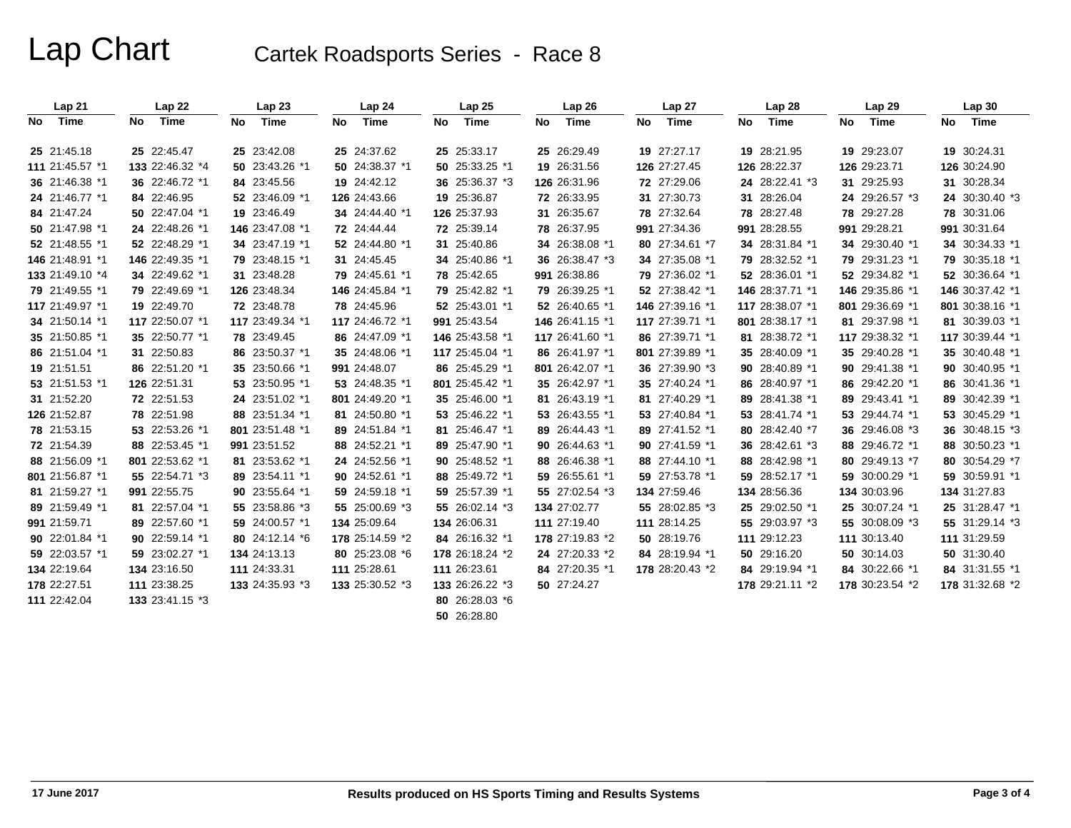|     | Lap21           |    | Lap22           |    | Lap23           |     | Lap24           |    | Lap25           |    | Lap26           |    | Lap 27          |    | Lap 28          |    | Lap29           | Lap 30          |
|-----|-----------------|----|-----------------|----|-----------------|-----|-----------------|----|-----------------|----|-----------------|----|-----------------|----|-----------------|----|-----------------|-----------------|
| No. | Time            | No | Time            | No | Time            | No. | <b>Time</b>     | No | Time            | No | Time            | No | Time            | No | Time            | No | Time            | No Time         |
|     | 25 21:45.18     |    | 25 22:45.47     |    | 25 23:42.08     |     | 25 24:37.62     |    | 25 25:33.17     |    | 25 26:29.49     |    | 19 27:27.17     |    | 19 28:21.95     |    | 19 29:23.07     | 19 30:24.31     |
|     | 111 21:45.57 *1 |    | 133 22:46.32 *4 |    | 50 23:43.26 *1  |     | 50 24:38.37 *1  |    | 50 25:33.25 *1  |    | 19 26:31.56     |    | 126 27:27.45    |    | 126 28:22.37    |    | 126 29:23.71    | 126 30:24.90    |
|     | 36 21:46.38 *1  |    | 36 22:46.72 *1  |    | 84 23:45.56     |     | 19 24:42.12     |    | 36 25:36.37 *3  |    | 126 26:31.96    |    | 72 27:29.06     |    | 24 28:22.41 *3  |    | 31 29:25.93     | 31 30:28.34     |
|     | 24 21:46.77 *1  |    | 84 22:46.95     |    | 52 23:46.09 *1  |     | 126 24:43.66    |    | 19 25:36.87     |    | 72 26:33.95     |    | 31 27:30.73     |    | 31 28:26.04     |    | 24 29:26.57 *3  | 24 30:30.40 *3  |
|     | 84 21:47.24     |    | 50 22:47.04 *1  |    | 19 23:46.49     |     | 34 24:44.40 *1  |    | 126 25:37.93    |    | 31 26:35.67     |    | 78 27:32.64     |    | 78 28:27.48     |    | 78 29:27.28     | 78 30:31.06     |
|     | 50 21:47.98 *1  |    | 24 22:48.26 *1  |    | 146 23:47.08 *1 |     | 72 24:44.44     |    | 72 25:39.14     |    | 78 26:37.95     |    | 991 27:34.36    |    | 991 28:28.55    |    | 991 29:28.21    | 991 30:31.64    |
|     | 52 21:48.55 *1  |    | 52 22:48.29 *1  |    | 34 23:47.19 *1  |     | 52 24:44.80 *1  |    | 31 25:40.86     |    | 34 26:38.08 *1  |    | 80 27:34.61 *7  |    | 34 28:31.84 *1  |    | 34 29:30.40 *1  | 34 30:34.33 *1  |
|     | 146 21:48.91 *1 |    | 146 22:49.35 *1 |    | 79 23:48.15 *1  |     | 31 24:45.45     |    | 34 25:40.86 *1  |    | 36 26:38.47 *3  |    | 34 27:35.08 *1  |    | 79 28:32.52 *1  |    | 79 29:31.23 *1  | 79 30:35.18 *1  |
|     | 133 21:49.10 *4 |    | 34 22:49.62 *1  |    | 31 23:48.28     |     | 79 24:45.61 *1  |    | 78 25:42.65     |    | 991 26:38.86    |    | 79 27:36.02 *1  |    | 52 28:36.01 *1  |    | 52 29:34.82 *1  | 52 30:36.64 *1  |
|     | 79 21:49.55 *1  |    | 79 22:49.69 *1  |    | 126 23:48.34    |     | 146 24:45.84 *1 |    | 79 25:42.82 *1  |    | 79 26:39.25 *1  |    | 52 27:38.42 *1  |    | 146 28:37.71 *1 |    | 146 29:35.86 *1 | 146 30:37.42 *1 |
|     | 117 21:49.97 *1 |    | 19 22:49.70     |    | 72 23:48.78     |     | 78 24:45.96     |    | 52 25:43.01 *1  |    | 52 26:40.65 *1  |    | 146 27:39.16 *1 |    | 117 28:38.07 *1 |    | 801 29:36.69 *1 | 801 30:38.16 *1 |
|     | 34 21:50.14 *1  |    | 117 22:50.07 *1 |    | 117 23:49.34 *1 |     | 117 24:46.72 *1 |    | 991 25:43.54    |    | 146 26:41.15 *1 |    | 117 27:39.71 *1 |    | 801 28:38.17 *1 |    | 81 29:37.98 *1  | 81 30:39.03 *1  |
|     | 35 21:50.85 *1  |    | 35 22:50.77 *1  |    | 78 23:49.45     |     | 86 24:47.09 *1  |    | 146 25:43.58 *1 |    | 117 26:41.60 *1 |    | 86 27:39.71 *1  |    | 81 28:38.72 *1  |    | 117 29:38.32 *1 | 117 30:39.44 *1 |
|     | 86 21:51.04 *1  |    | 31 22:50.83     |    | 86 23:50.37 *1  |     | 35 24:48.06 *1  |    | 117 25:45.04 *1 |    | 86 26:41.97 *1  |    | 801 27:39.89 *1 |    | 35 28:40.09 *1  |    | 35 29:40.28 *1  | 35 30:40.48 *1  |
|     | 19 21:51.51     |    | 86 22:51.20 *1  |    | 35 23:50.66 *1  |     | 991 24:48.07    |    | 86 25:45.29 *1  |    | 801 26:42.07 *1 |    | 36 27:39.90 *3  |    | 90 28:40.89 *1  |    | 90 29:41.38 *1  | 90 30:40.95 *1  |
|     | 53 21:51.53 *1  |    | 126 22:51.31    |    | 53 23:50.95 *1  |     | 53 24:48.35 *1  |    | 801 25:45.42 *1 |    | 35 26:42.97 *1  |    | 35 27:40.24 *1  |    | 86 28:40.97 *1  |    | 86 29:42.20 *1  | 86 30:41.36 *1  |
|     | 31 21:52.20     |    | 72 22:51.53     |    | 24 23:51.02 *1  |     | 801 24:49.20 *1 |    | 35 25:46.00 *1  |    | 81 26:43.19 *1  |    | 81 27:40.29 *1  |    | 89 28:41.38 *1  |    | 89 29:43.41 *1  | 89 30:42.39 *1  |
|     | 126 21:52.87    |    | 78 22:51.98     |    | 88 23:51.34 *1  |     | 81 24:50.80 *1  |    | 53 25:46.22 *1  |    | 53 26:43.55 *1  |    | 53 27:40.84 *1  |    | 53 28:41.74 *1  |    | 53 29:44.74 *1  | 53 30:45.29 *1  |
|     | 78 21:53.15     |    | 53 22:53.26 *1  |    | 801 23:51.48 *1 |     | 89 24:51.84 *1  |    | 81 25:46.47 *1  |    | 89 26:44.43 *1  |    | 89 27:41.52 *1  |    | 80 28:42.40 *7  |    | 36 29:46.08 *3  | 36 30:48.15 *3  |
|     | 72 21:54.39     |    | 88 22:53.45 *1  |    | 991 23:51.52    |     | 88 24:52.21 *1  |    | 89 25:47.90 *1  |    | 90 26:44.63 *1  |    | 90 27:41.59 *1  |    | 36 28:42.61 *3  |    | 88 29:46.72 *1  | 88 30:50.23 *1  |
|     | 88 21:56.09 *1  |    | 801 22:53.62 *1 |    | 81 23:53.62 *1  |     | 24 24:52.56 *1  |    | 90 25:48.52 *1  |    | 88 26:46.38 *1  |    | 88 27:44.10 *1  |    | 88 28:42.98 *1  |    | 80 29:49.13 *7  | 80 30:54.29 *7  |
|     | 801 21:56.87 *1 |    | 55 22:54.71 *3  |    | 89 23:54.11 *1  |     | 90 24:52.61 *1  |    | 88 25:49.72 *1  |    | 59 26:55.61 *1  |    | 59 27:53.78 *1  |    | 59 28:52.17 *1  |    | 59 30:00.29 *1  | 59 30:59.91 *1  |
|     | 81 21:59.27 *1  |    | 991 22:55.75    |    | 90 23:55.64 *1  |     | 59 24:59.18 *1  |    | 59 25:57.39 *1  |    | 55 27:02.54 *3  |    | 134 27:59.46    |    | 134 28:56.36    |    | 134 30:03.96    | 134 31:27.83    |
|     | 89 21:59.49 *1  |    | 81 22:57.04 *1  |    | 55 23:58.86 *3  |     | 55 25:00.69 *3  |    | 55 26:02.14 *3  |    | 134 27:02.77    |    | 55 28:02.85 *3  |    | 25 29:02.50 *1  |    | 25 30:07.24 *1  | 25 31:28.47 *1  |
|     | 991 21:59.71    |    | 89 22:57.60 *1  |    | 59 24:00.57 *1  |     | 134 25:09.64    |    | 134 26:06.31    |    | 111 27:19.40    |    | 111 28:14.25    |    | 55 29:03.97 *3  |    | 55 30:08.09 *3  | 55 31:29.14 *3  |
|     | 90 22:01.84 *1  |    | 90 22:59.14 *1  |    | 80 24:12.14 *6  |     | 178 25:14.59 *2 |    | 84 26:16.32 *1  |    | 178 27:19.83 *2 |    | 50 28:19.76     |    | 111 29:12.23    |    | 111 30:13.40    | 111 31:29.59    |
|     | 59 22:03.57 *1  |    | 59 23:02.27 *1  |    | 134 24:13.13    |     | 80 25:23.08 *6  |    | 178 26:18.24 *2 |    | 24 27:20.33 *2  |    | 84 28:19.94 *1  |    | 50 29:16.20     |    | 50 30:14.03     | 50 31:30.40     |
|     | 134 22:19.64    |    | 134 23:16.50    |    | 111 24:33.31    |     | 111 25:28.61    |    | 111 26:23.61    |    | 84 27:20.35 *1  |    | 178 28:20.43 *2 |    | 84 29:19.94 *1  |    | 84 30:22.66 *1  | 84 31:31.55 *1  |
|     | 178 22:27.51    |    | 111 23:38.25    |    | 133 24:35.93 *3 |     | 133 25:30.52 *3 |    | 133 26:26.22 *3 |    | 50 27:24.27     |    |                 |    | 178 29:21.11 *2 |    | 178 30:23.54 *2 | 178 31:32.68 *2 |
|     | 111 22:42.04    |    | 133 23:41.15 *3 |    |                 |     |                 |    | 80 26:28.03 *6  |    |                 |    |                 |    |                 |    |                 |                 |
|     |                 |    |                 |    |                 |     |                 |    | 50 26:28.80     |    |                 |    |                 |    |                 |    |                 |                 |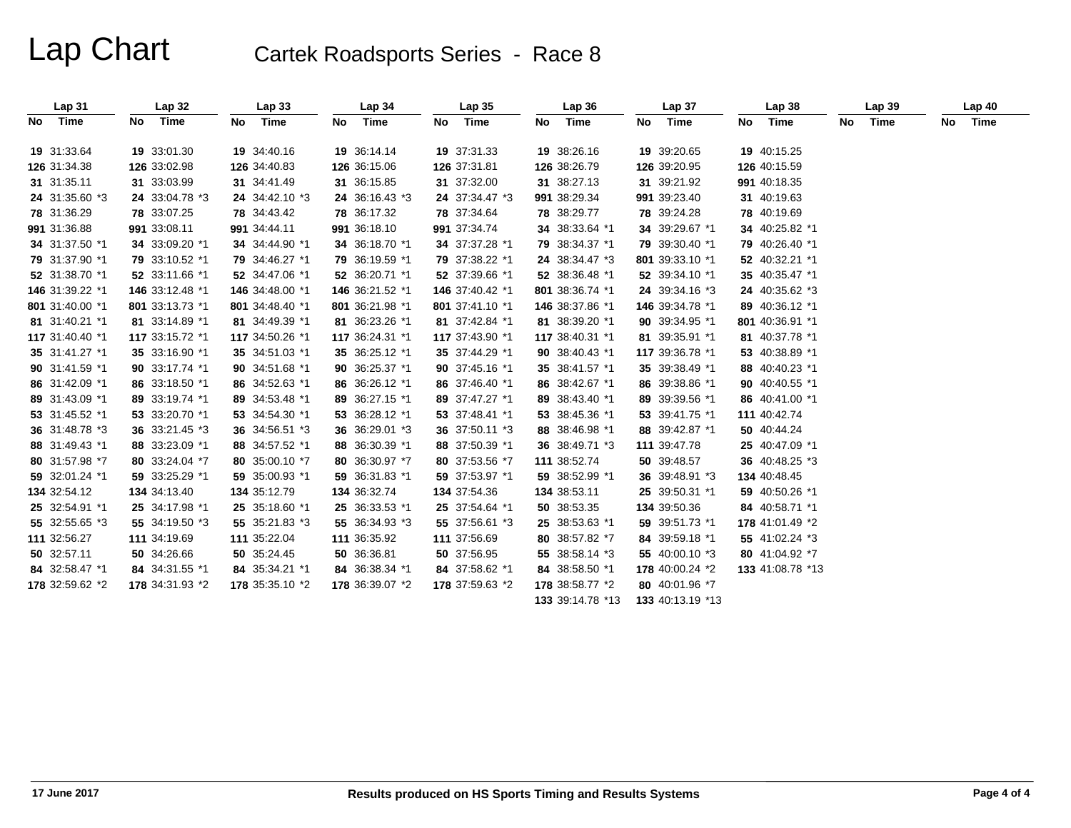| Lap31           |     | <b>Lap 32</b>   | Lap <sub>33</sub> |    | Lap <sub>34</sub> |    | Lap <sub>35</sub> | Lap36            | Lap <sub>37</sub> | Lap38            | Lap39   | Lap40   |
|-----------------|-----|-----------------|-------------------|----|-------------------|----|-------------------|------------------|-------------------|------------------|---------|---------|
| No Time         | No. | Time            | No Time           | No | Time              | No | Time              | No Time          | No Time           | No Time          | No Time | No Time |
| 19 31:33.64     |     | 19 33:01.30     | 19 34:40.16       |    | 19 36:14.14       |    | 19 37:31.33       | 19 38:26.16      | 19 39:20.65       | 19 40:15.25      |         |         |
| 126 31:34.38    |     | 126 33:02.98    | 126 34:40.83      |    | 126 36:15.06      |    | 126 37:31.81      | 126 38:26.79     | 126 39:20.95      | 126 40:15.59     |         |         |
| 31 31:35.11     |     | 31 33:03.99     | 31 34:41.49       |    | 31 36:15.85       |    | 31 37:32.00       | 31 38:27.13      | 31 39:21.92       | 991 40:18.35     |         |         |
| 24 31:35.60 *3  |     | 24 33:04.78 *3  | 24 34:42.10 *3    |    | 24 36:16.43 *3    |    | 24 37:34.47 *3    | 991 38:29.34     | 991 39:23.40      | 31 40:19.63      |         |         |
| 78 31:36.29     |     | 78 33:07.25     | 78 34:43.42       |    | 78 36:17.32       |    | 78 37:34.64       | 78 38:29.77      | 78 39:24.28       | 78 40:19.69      |         |         |
| 991 31:36.88    |     | 991 33:08.11    | 991 34:44.11      |    | 991 36:18.10      |    | 991 37:34.74      | 34 38:33.64 *1   | 34 39:29.67 *1    | 34 40:25.82 *1   |         |         |
| 34 31:37.50 *1  |     | 34 33:09.20 *1  | 34 34:44.90 *1    |    | 34 36:18.70 *1    |    | 34 37:37.28 *1    | 79 38:34.37 *1   | 79 39:30.40 *1    | 79 40:26.40 *1   |         |         |
| 79 31:37.90 *1  |     | 79 33:10.52 *1  | 79 34:46.27 *1    |    | 79 36:19.59 *1    |    | 79 37:38.22 *1    | 24 38:34.47 *3   | 801 39:33.10 *1   | 52 40:32.21 *1   |         |         |
| 52 31:38.70 *1  |     | 52 33:11.66 *1  | 52 34:47.06 *1    |    | 52 36:20.71 *1    |    | 52 37:39.66 *1    | 52 38:36.48 *1   | 52 39:34.10 *1    | 35 40:35.47 *1   |         |         |
| 146 31:39.22 *1 |     | 146 33:12.48 *1 | 146 34:48.00 *1   |    | 146 36:21.52 *1   |    | 146 37:40.42 *1   | 801 38:36.74 *1  | 24 39:34.16 *3    | 24 40:35.62 *3   |         |         |
| 801 31:40.00 *1 |     | 801 33:13.73 *1 | 801 34:48.40 *1   |    | 801 36:21.98 *1   |    | 801 37:41.10 *1   | 146 38:37.86 *1  | 146 39:34.78 *1   | 89 40:36.12 *1   |         |         |
| 81 31:40.21 *1  |     | 81 33:14.89 *1  | 81 34:49.39 *1    |    | 81 36:23.26 *1    |    | 81 37:42.84 *1    | 81 38:39.20 *1   | 90 39:34.95 *1    | 801 40:36.91 *1  |         |         |
| 117 31:40.40 *1 |     | 117 33:15.72 *1 | 117 34:50.26 *1   |    | 117 36:24.31 *1   |    | 117 37:43.90 *1   | 117 38:40.31 *1  | 81 39:35.91 *1    | 81 40:37.78 *1   |         |         |
| 35 31:41.27 *1  |     | 35 33:16.90 *1  | 35 34:51.03 *1    |    | 35 36:25.12 *1    |    | 35 37:44.29 *1    | 90 38:40.43 *1   | 117 39:36.78 *1   | 53 40:38.89 *1   |         |         |
| 90 31:41.59 *1  |     | 90 33:17.74 *1  | 90 34:51.68 *1    |    | 90 36:25.37 *1    |    | 90 37:45.16 *1    | 35 38:41.57 *1   | 35 39:38.49 *1    | 88 40:40.23 *1   |         |         |
| 86 31:42.09 *1  |     | 86 33:18.50 *1  | 86 34:52.63 *1    |    | 86 36:26.12 *1    |    | 86 37:46.40 *1    | 86 38:42.67 *1   | 86 39:38.86 *1    | 90 40:40.55 *1   |         |         |
| 89 31:43.09 *1  |     | 89 33:19.74 *1  | 89 34:53.48 *1    |    | 89 36:27.15 *1    |    | 89 37:47.27 *1    | 89 38:43.40 *1   | 89 39:39.56 *1    | 86 40:41.00 *1   |         |         |
| 53 31:45.52 *1  |     | 53 33:20.70 *1  | 53 34:54.30 *1    |    | 53 36:28.12 *1    |    | 53 37:48.41 *1    | 53 38:45.36 *1   | 53 39:41.75 *1    | 111 40:42.74     |         |         |
| 36 31:48.78 *3  |     | 36 33:21.45 *3  | 36 34:56.51 *3    |    | 36 36:29.01 *3    |    | 36 37:50.11 *3    | 88 38:46.98 *1   | 88 39:42.87 *1    | 50 40:44.24      |         |         |
| 88 31:49.43 *1  |     | 88 33:23.09 *1  | 88 34:57.52 *1    |    | 88 36:30.39 *1    |    | 88 37:50.39 *1    | 36 38:49.71 *3   | 111 39:47.78      | 25 40:47.09 *1   |         |         |
| 80 31:57.98 *7  |     | 80 33:24.04 *7  | 80 35:00.10 *7    |    | 80 36:30.97 *7    |    | 80 37:53.56 *7    | 111 38:52.74     | 50 39:48.57       | 36 40:48.25 *3   |         |         |
| 59 32:01.24 *1  |     | 59 33:25.29 *1  | 59 35:00.93 *1    |    | 59 36:31.83 *1    |    | 59 37:53.97 *1    | 59 38:52.99 *1   | 36 39:48.91 *3    | 134 40:48.45     |         |         |
| 134 32:54.12    |     | 134 34:13.40    | 134 35:12.79      |    | 134 36:32.74      |    | 134 37:54.36      | 134 38:53.11     | 25 39:50.31 *1    | 59 40:50.26 *1   |         |         |
| 25 32:54.91 *1  |     | 25 34:17.98 *1  | 25 35:18.60 *1    |    | 25 36:33.53 *1    |    | 25 37:54.64 *1    | 50 38:53.35      | 134 39:50.36      | 84 40:58.71 *1   |         |         |
| 55 32:55.65 *3  |     | 55 34:19.50 *3  | 55 35:21.83 *3    |    | 55 36:34.93 *3    |    | 55 37:56.61 *3    | 25 38:53.63 *1   | 59 39:51.73 *1    | 178 41:01.49 *2  |         |         |
| 111 32:56.27    |     | 111 34:19.69    | 111 35:22.04      |    | 111 36:35.92      |    | 111 37:56.69      | 80 38:57.82 *7   | 84 39:59.18 *1    | 55 41:02.24 *3   |         |         |
| 50 32:57.11     |     | 50 34:26.66     | 50 35:24.45       |    | 50 36:36.81       |    | 50 37:56.95       | 55 38:58.14 *3   | 55 40:00.10 *3    | 80 41:04.92 *7   |         |         |
| 84 32:58.47 *1  |     | 84 34:31.55 *1  | 84 35:34.21 *1    |    | 84 36:38.34 *1    |    | 84 37:58.62 *1    | 84 38:58.50 *1   | 178 40:00.24 *2   | 133 41:08.78 *13 |         |         |
| 178 32:59.62 *2 |     | 178 34:31.93 *2 | 178 35:35.10 *2   |    | 178 36:39.07 *2   |    | 178 37:59.63 *2   | 178 38:58.77 *2  | 80 40:01.96 *7    |                  |         |         |
|                 |     |                 |                   |    |                   |    |                   | 133 39:14.78 *13 | 133 40:13.19 *13  |                  |         |         |
|                 |     |                 |                   |    |                   |    |                   |                  |                   |                  |         |         |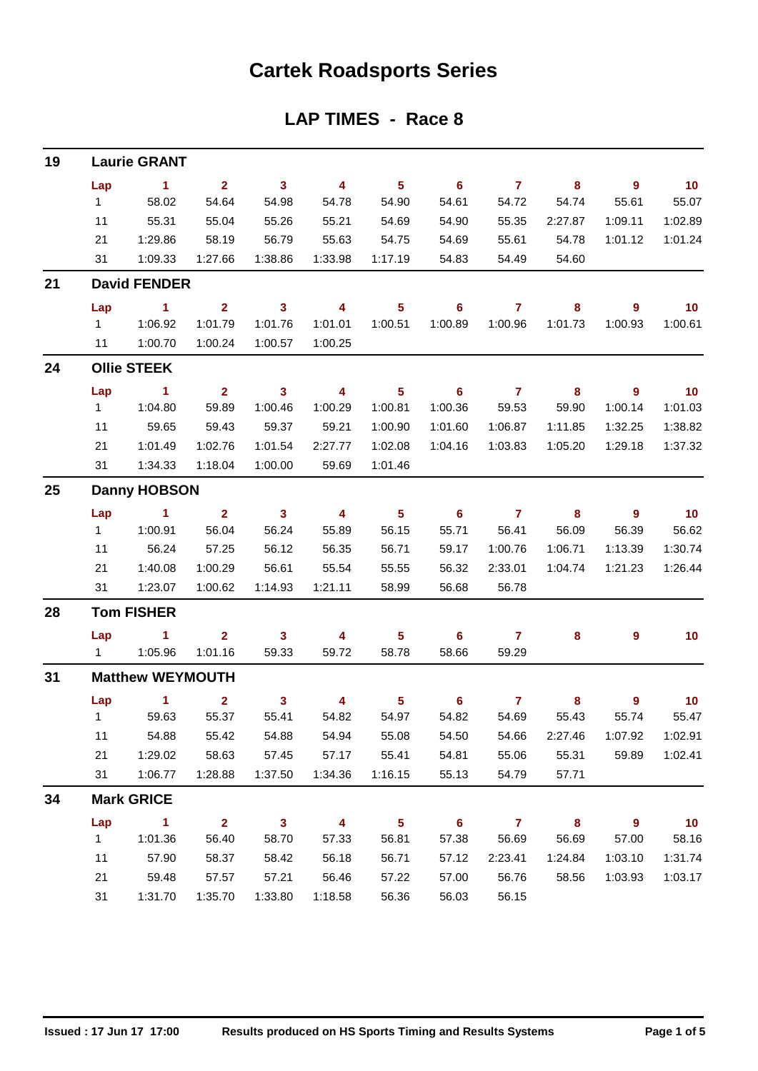### **Cartek Roadsports Series**

### **LAP TIMES - Race 8**

| 19 |                    | <b>Laurie GRANT</b>     |                |                         |                         |                 |                            |                |         |                  |                 |  |  |
|----|--------------------|-------------------------|----------------|-------------------------|-------------------------|-----------------|----------------------------|----------------|---------|------------------|-----------------|--|--|
|    | Lap                | $\blacksquare$ 1        | 2 <sup>1</sup> | $\overline{\mathbf{3}}$ | $\overline{4}$          | 5 <sub>5</sub>  | $\overline{\phantom{0}}$ 6 | $\mathbf{7}$   | 8       | $\overline{9}$   | 10              |  |  |
|    | 1                  | 58.02                   | 54.64          | 54.98                   | 54.78                   | 54.90           | 54.61                      | 54.72          | 54.74   | 55.61            | 55.07           |  |  |
|    | 11                 | 55.31                   | 55.04          | 55.26                   | 55.21                   | 54.69           | 54.90                      | 55.35          | 2:27.87 | 1:09.11          | 1:02.89         |  |  |
|    | 21                 | 1:29.86                 | 58.19          | 56.79                   | 55.63                   | 54.75           | 54.69                      | 55.61          | 54.78   | 1:01.12          | 1:01.24         |  |  |
|    | 31                 | 1:09.33                 | 1:27.66        | 1:38.86                 | 1:33.98                 | 1:17.19         | 54.83                      | 54.49          | 54.60   |                  |                 |  |  |
| 21 |                    | <b>David FENDER</b>     |                |                         |                         |                 |                            |                |         |                  |                 |  |  |
|    | Lap                | $\blacksquare$ 1        | $\overline{2}$ | $\mathbf{3}$            | $\overline{\mathbf{4}}$ | $5\phantom{.0}$ | 6                          | 7              | 8       | $\overline{9}$   | 10              |  |  |
|    | $1 \quad$          | 1:06.92                 | 1:01.79        | 1:01.76                 | 1:01.01                 | 1:00.51         | 1:00.89                    | 1:00.96        | 1:01.73 | 1:00.93          | 1:00.61         |  |  |
|    | 11                 | 1:00.70                 | 1:00.24        | 1:00.57                 | 1:00.25                 |                 |                            |                |         |                  |                 |  |  |
| 24 | <b>Ollie STEEK</b> |                         |                |                         |                         |                 |                            |                |         |                  |                 |  |  |
|    | Lap                | 1.                      | $\overline{2}$ | $\mathbf{3}$            | 4                       | $5\phantom{.0}$ | 6                          | $\overline{7}$ | 8       | 9                | 10              |  |  |
|    | 1                  | 1:04.80                 | 59.89          | 1:00.46                 | 1:00.29                 | 1:00.81         | 1:00.36                    | 59.53          | 59.90   | 1:00.14          | 1:01.03         |  |  |
|    | 11                 | 59.65                   | 59.43          | 59.37                   | 59.21                   | 1:00.90         | 1:01.60                    | 1:06.87        | 1:11.85 | 1:32.25          | 1:38.82         |  |  |
|    | 21                 | 1:01.49                 | 1:02.76        | 1:01.54                 | 2:27.77                 | 1:02.08         | 1:04.16                    | 1:03.83        | 1:05.20 | 1:29.18          | 1:37.32         |  |  |
|    | 31                 | 1:34.33                 | 1:18.04        | 1:00.00                 | 59.69                   | 1:01.46         |                            |                |         |                  |                 |  |  |
| 25 |                    | <b>Danny HOBSON</b>     |                |                         |                         |                 |                            |                |         |                  |                 |  |  |
|    | Lap                | 1                       | $\mathbf{2}$   | $\mathbf{3}$            | 4                       | 5 <sub>5</sub>  | 6                          | $\overline{7}$ | 8       | $\boldsymbol{9}$ | $-10$           |  |  |
|    | 1                  | 1:00.91                 | 56.04          | 56.24                   | 55.89                   | 56.15           | 55.71                      | 56.41          | 56.09   | 56.39            | 56.62           |  |  |
|    | 11                 | 56.24                   | 57.25          | 56.12                   | 56.35                   | 56.71           | 59.17                      | 1:00.76        | 1:06.71 | 1:13.39          | 1:30.74         |  |  |
|    | 21                 | 1:40.08                 | 1:00.29        | 56.61                   | 55.54                   | 55.55           | 56.32                      | 2:33.01        | 1:04.74 | 1:21.23          | 1:26.44         |  |  |
|    | 31                 | 1:23.07                 | 1:00.62        | 1:14.93                 | 1:21.11                 | 58.99           | 56.68                      | 56.78          |         |                  |                 |  |  |
| 28 | <b>Tom FISHER</b>  |                         |                |                         |                         |                 |                            |                |         |                  |                 |  |  |
|    | Lap                | 1                       | $\overline{2}$ | 3                       | 4                       | 5               | 6                          | $\overline{7}$ | 8       | 9                | 10 <sub>1</sub> |  |  |
|    |                    |                         | 1:01.16        | 59.33                   | 59.72                   | 58.78           | 58.66                      | 59.29          |         |                  |                 |  |  |
| 31 |                    | <b>Matthew WEYMOUTH</b> |                |                         |                         |                 |                            |                |         |                  |                 |  |  |
|    | Lap                | $\sim$ 1                | $\overline{2}$ | $\mathbf{3}$            | 4                       | 5 <sub>1</sub>  | $6\phantom{1}$             | $\overline{7}$ | 8       | 9                | 10              |  |  |
|    | 1                  | 59.63                   | 55.37          | 55.41                   | 54.82                   | 54.97           | 54.82                      | 54.69          | 55.43   | 55.74            | 55.47           |  |  |
|    | 11                 | 54.88                   | 55.42          | 54.88                   | 54.94                   | 55.08           | 54.50                      | 54.66          | 2:27.46 | 1:07.92          | 1:02.91         |  |  |
|    | 21                 | 1:29.02                 | 58.63          | 57.45                   | 57.17                   | 55.41           | 54.81                      | 55.06          | 55.31   | 59.89            | 1:02.41         |  |  |
|    | 31                 | 1:06.77                 | 1:28.88        | 1:37.50                 | 1:34.36                 | 1:16.15         | 55.13                      | 54.79          | 57.71   |                  |                 |  |  |
| 34 |                    | <b>Mark GRICE</b>       |                |                         |                         |                 |                            |                |         |                  |                 |  |  |
|    | Lap                | $\mathbf{1}$            | $\overline{2}$ | $\overline{\mathbf{3}}$ | $\overline{\mathbf{4}}$ | $5\phantom{a}$  | $6\phantom{1}6$            | $\overline{7}$ | 8       | $\mathbf{9}$     | 10              |  |  |
|    | $\mathbf{1}$       | 1:01.36                 | 56.40          | 58.70                   | 57.33                   | 56.81           | 57.38                      | 56.69          | 56.69   | 57.00            | 58.16           |  |  |
|    | 11                 | 57.90                   | 58.37          | 58.42                   | 56.18                   | 56.71           | 57.12                      | 2:23.41        | 1:24.84 | 1:03.10          | 1:31.74         |  |  |
|    | 21                 | 59.48                   | 57.57          | 57.21                   | 56.46                   | 57.22           | 57.00                      | 56.76          | 58.56   | 1:03.93          | 1:03.17         |  |  |
|    | 31                 | 1:31.70                 | 1:35.70        | 1:33.80                 | 1:18.58                 | 56.36           | 56.03                      | 56.15          |         |                  |                 |  |  |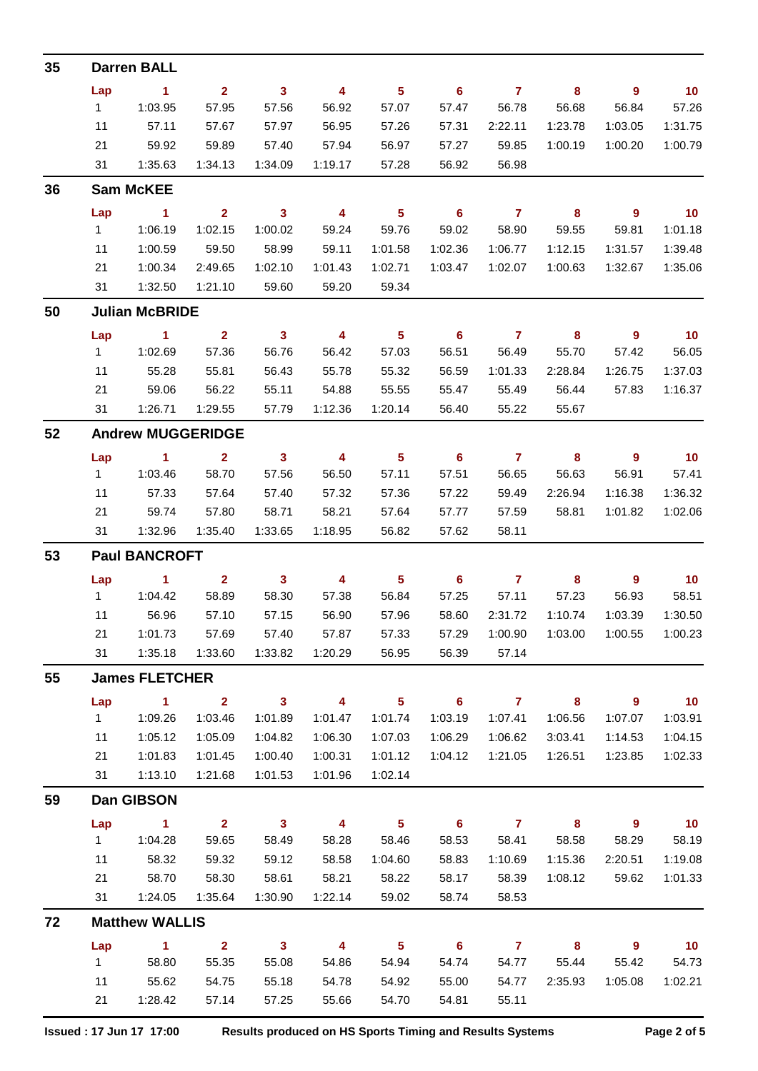| 35 |                       | <b>Darren BALL</b>       |                |                         |                         |                            |                            |                |         |                  |                 |  |
|----|-----------------------|--------------------------|----------------|-------------------------|-------------------------|----------------------------|----------------------------|----------------|---------|------------------|-----------------|--|
|    | Lap                   | $\blacksquare$ 1         | 2 <sup>1</sup> | 3 <sup>1</sup>          | $\overline{4}$          | $5\phantom{.0}$            | 6                          | $\overline{7}$ | 8       | $\overline{9}$   | 10              |  |
|    | 1                     | 1:03.95                  | 57.95          | 57.56                   | 56.92                   | 57.07                      | 57.47                      | 56.78          | 56.68   | 56.84            | 57.26           |  |
|    | 11                    | 57.11                    | 57.67          | 57.97                   | 56.95                   | 57.26                      | 57.31                      | 2:22.11        | 1:23.78 | 1:03.05          | 1:31.75         |  |
|    | 21                    | 59.92                    | 59.89          | 57.40                   | 57.94                   | 56.97                      | 57.27                      | 59.85          | 1:00.19 | 1:00.20          | 1:00.79         |  |
|    | 31                    | 1:35.63                  | 1:34.13        | 1:34.09                 | 1:19.17                 | 57.28                      | 56.92                      | 56.98          |         |                  |                 |  |
| 36 |                       | <b>Sam McKEE</b>         |                |                         |                         |                            |                            |                |         |                  |                 |  |
|    | Lap                   | $\sim$ 1                 | $\overline{2}$ | $\overline{\mathbf{3}}$ | $\overline{4}$          | $\overline{\phantom{0}}$ 5 | $\overline{\phantom{0}}$ 6 | $\overline{7}$ | 8       | $\overline{9}$   | $\overline{10}$ |  |
|    | 1                     | 1:06.19                  | 1:02.15        | 1:00.02                 | 59.24                   | 59.76                      | 59.02                      | 58.90          | 59.55   | 59.81            | 1:01.18         |  |
|    | 11                    | 1:00.59                  | 59.50          | 58.99                   | 59.11                   | 1:01.58                    | 1:02.36                    | 1:06.77        | 1:12.15 | 1:31.57          | 1:39.48         |  |
|    | 21                    | 1:00.34                  | 2:49.65        | 1:02.10                 | 1:01.43                 | 1:02.71                    | 1:03.47                    | 1:02.07        | 1:00.63 | 1:32.67          | 1:35.06         |  |
|    | 31                    | 1:32.50                  | 1:21.10        | 59.60                   | 59.20                   | 59.34                      |                            |                |         |                  |                 |  |
| 50 |                       | <b>Julian McBRIDE</b>    |                |                         |                         |                            |                            |                |         |                  |                 |  |
|    | Lap                   | $\sim$ 1                 | $\overline{2}$ | $\mathbf{3}$            | $\overline{4}$          | $\overline{\phantom{0}}$ 5 | $\overline{\phantom{0}}$ 6 | $\overline{7}$ | 8       | $\overline{9}$   | 10              |  |
|    | 1                     | 1:02.69                  | 57.36          | 56.76                   | 56.42                   | 57.03                      | 56.51                      | 56.49          | 55.70   | 57.42            | 56.05           |  |
|    | 11                    | 55.28                    | 55.81          | 56.43                   | 55.78                   | 55.32                      | 56.59                      | 1:01.33        | 2:28.84 | 1:26.75          | 1:37.03         |  |
|    | 21                    | 59.06                    | 56.22          | 55.11                   | 54.88                   | 55.55                      | 55.47                      | 55.49          | 56.44   | 57.83            | 1:16.37         |  |
|    | 31                    | 1:26.71                  | 1:29.55        | 57.79                   | 1:12.36                 | 1:20.14                    | 56.40                      | 55.22          | 55.67   |                  |                 |  |
| 52 |                       | <b>Andrew MUGGERIDGE</b> |                |                         |                         |                            |                            |                |         |                  |                 |  |
|    | Lap                   | $\sim$ 1                 | $\overline{2}$ | $\mathbf{3}$            | $\overline{4}$          | $5\phantom{.0}$            | $6^{\circ}$                | $\overline{7}$ | 8       | $\overline{9}$   | 10              |  |
|    | 1                     | 1:03.46                  | 58.70          | 57.56                   | 56.50                   | 57.11                      | 57.51                      | 56.65          | 56.63   | 56.91            | 57.41           |  |
|    | 11                    | 57.33                    | 57.64          | 57.40                   | 57.32                   | 57.36                      | 57.22                      | 59.49          | 2:26.94 | 1:16.38          | 1:36.32         |  |
|    | 21                    | 59.74                    | 57.80          | 58.71                   | 58.21                   | 57.64                      | 57.77                      | 57.59          | 58.81   | 1:01.82          | 1:02.06         |  |
|    | 31                    | 1:32.96                  | 1:35.40        | 1:33.65                 | 1:18.95                 | 56.82                      | 57.62                      | 58.11          |         |                  |                 |  |
| 53 | <b>Paul BANCROFT</b>  |                          |                |                         |                         |                            |                            |                |         |                  |                 |  |
|    | Lap                   | $\blacktriangleleft$     | $\overline{2}$ | $\mathbf{3}$            | $\overline{4}$          | $5\phantom{.0}$            | 6                          | $\overline{7}$ | 8       | $\boldsymbol{9}$ | 10              |  |
|    | 1                     | 1:04.42                  | 58.89          | 58.30                   | 57.38                   | 56.84                      | 57.25                      | 57.11          | 57.23   | 56.93            | 58.51           |  |
|    | 11                    | 56.96                    | 57.10          | 57.15                   | 56.90                   | 57.96                      | 58.60                      | 2:31.72        | 1:10.74 | 1:03.39          | 1:30.50         |  |
|    | 21                    | 1:01.73                  | 57.69          | 57.40                   | 57.87                   | 57.33                      | 57.29                      | 1:00.90        | 1:03.00 | 1:00.55          | 1:00.23         |  |
|    | 31                    | 1:35.18                  | 1:33.60        | 1:33.82                 | 1:20.29                 | 56.95                      | 56.39                      | 57.14          |         |                  |                 |  |
| 55 | <b>James FLETCHER</b> |                          |                |                         |                         |                            |                            |                |         |                  |                 |  |
|    | Lap                   | $\blacktriangleleft$     | $\overline{2}$ | $\mathbf{3}$            | $\overline{\mathbf{4}}$ | $5\phantom{a}$             | $6\phantom{1}$             | $\mathbf{7}$   | 8       | $\overline{9}$   | 10              |  |
|    | 1                     | 1:09.26                  | 1:03.46        | 1:01.89                 | 1:01.47                 | 1:01.74                    | 1:03.19                    | 1:07.41        | 1:06.56 | 1:07.07          | 1:03.91         |  |
|    | 11                    | 1:05.12                  | 1:05.09        | 1:04.82                 | 1:06.30                 | 1:07.03                    | 1:06.29                    | 1:06.62        | 3:03.41 | 1:14.53          | 1:04.15         |  |
|    | 21                    | 1:01.83                  | 1:01.45        | 1:00.40                 | 1:00.31                 | 1:01.12                    | 1:04.12                    | 1:21.05        | 1:26.51 | 1:23.85          | 1:02.33         |  |
|    | 31                    | 1:13.10                  | 1:21.68        | 1:01.53                 | 1:01.96                 | 1:02.14                    |                            |                |         |                  |                 |  |
| 59 |                       | Dan GIBSON               |                |                         |                         |                            |                            |                |         |                  |                 |  |
|    | Lap                   | $\sim$ 1                 | $\overline{2}$ | $\overline{\mathbf{3}}$ | $\overline{\mathbf{4}}$ | $\overline{\phantom{0}}$   | $6\overline{6}$            | $\overline{7}$ | 8       | $\overline{9}$   | 10              |  |
|    | 1                     | 1:04.28                  | 59.65          | 58.49                   | 58.28                   | 58.46                      | 58.53                      | 58.41          | 58.58   | 58.29            | 58.19           |  |
|    | 11                    | 58.32                    | 59.32          | 59.12                   | 58.58                   | 1:04.60                    | 58.83                      | 1:10.69        | 1:15.36 | 2:20.51          | 1:19.08         |  |
|    | 21                    | 58.70                    | 58.30          | 58.61                   | 58.21                   | 58.22                      | 58.17                      | 58.39          | 1:08.12 | 59.62            | 1:01.33         |  |
|    | 31                    | 1:24.05                  | 1:35.64        | 1:30.90                 | 1:22.14                 | 59.02                      | 58.74                      | 58.53          |         |                  |                 |  |
| 72 |                       | <b>Matthew WALLIS</b>    |                |                         |                         |                            |                            |                |         |                  |                 |  |
|    | Lap                   | $\blacksquare$ 1         | $\overline{2}$ | 3 <sup>1</sup>          | 4                       | $-5$                       | $\overline{\phantom{0}}$ 6 | $\overline{7}$ | 8       | $\overline{9}$   | 10              |  |
|    | 1                     | 58.80                    | 55.35          | 55.08                   | 54.86                   | 54.94                      | 54.74                      | 54.77          | 55.44   | 55.42            | 54.73           |  |
|    | 11                    | 55.62                    | 54.75          | 55.18                   | 54.78                   | 54.92                      | 55.00                      | 54.77          | 2:35.93 | 1:05.08          | 1:02.21         |  |
|    | 21                    | 1:28.42                  | 57.14          | 57.25                   | 55.66                   | 54.70                      | 54.81                      | 55.11          |         |                  |                 |  |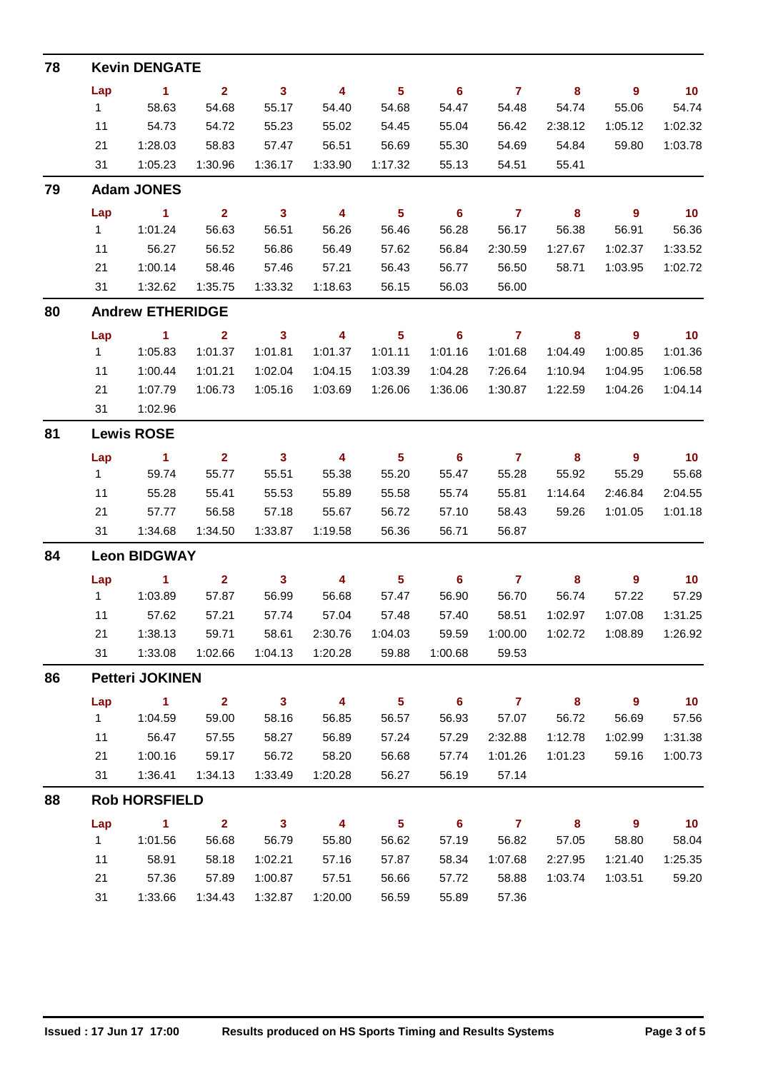| 78 |                     | <b>Kevin DENGATE</b>    |                |              |                |                 |                            |                |         |                  |                 |
|----|---------------------|-------------------------|----------------|--------------|----------------|-----------------|----------------------------|----------------|---------|------------------|-----------------|
|    | Lap                 | $\blacksquare$          | $\overline{2}$ | $\mathbf{3}$ | $\overline{4}$ | $5\phantom{.0}$ | 6 <sup>6</sup>             | $\overline{7}$ | 8       | $\overline{9}$   | 10              |
|    | 1                   | 58.63                   | 54.68          | 55.17        | 54.40          | 54.68           | 54.47                      | 54.48          | 54.74   | 55.06            | 54.74           |
|    | 11                  | 54.73                   | 54.72          | 55.23        | 55.02          | 54.45           | 55.04                      | 56.42          | 2:38.12 | 1:05.12          | 1:02.32         |
|    | 21                  | 1:28.03                 | 58.83          | 57.47        | 56.51          | 56.69           | 55.30                      | 54.69          | 54.84   | 59.80            | 1:03.78         |
|    | 31                  | 1:05.23                 | 1:30.96        | 1:36.17      | 1:33.90        | 1:17.32         | 55.13                      | 54.51          | 55.41   |                  |                 |
| 79 |                     | <b>Adam JONES</b>       |                |              |                |                 |                            |                |         |                  |                 |
|    | Lap                 | $\blacksquare$ 1        | 2 <sup>1</sup> | $\mathbf{3}$ | $\overline{4}$ | $5\phantom{.0}$ | $6^{\circ}$                | $\overline{7}$ | 8       | 9                | 10              |
|    | 1                   | 1:01.24                 | 56.63          | 56.51        | 56.26          | 56.46           | 56.28                      | 56.17          | 56.38   | 56.91            | 56.36           |
|    | 11                  | 56.27                   | 56.52          | 56.86        | 56.49          | 57.62           | 56.84                      | 2:30.59        | 1:27.67 | 1:02.37          | 1:33.52         |
|    | 21                  | 1:00.14                 | 58.46          | 57.46        | 57.21          | 56.43           | 56.77                      | 56.50          | 58.71   | 1:03.95          | 1:02.72         |
|    | 31                  | 1:32.62                 | 1:35.75        | 1:33.32      | 1:18.63        | 56.15           | 56.03                      | 56.00          |         |                  |                 |
| 80 |                     | <b>Andrew ETHERIDGE</b> |                |              |                |                 |                            |                |         |                  |                 |
|    | Lap                 | $\sim$ 1                | $\overline{2}$ | $\mathbf{3}$ | 4              | $5\phantom{.0}$ | $\overline{\phantom{0}}$ 6 | $\overline{7}$ | 8       | $\overline{9}$   | $\overline{10}$ |
|    | 1                   | 1:05.83                 | 1:01.37        | 1:01.81      | 1:01.37        | 1:01.11         | 1:01.16                    | 1:01.68        | 1:04.49 | 1:00.85          | 1:01.36         |
|    | 11                  | 1:00.44                 | 1:01.21        | 1:02.04      | 1:04.15        | 1:03.39         | 1:04.28                    | 7:26.64        | 1:10.94 | 1:04.95          | 1:06.58         |
|    | 21                  | 1:07.79                 | 1:06.73        | 1:05.16      | 1:03.69        | 1:26.06         | 1:36.06                    | 1:30.87        | 1:22.59 | 1:04.26          | 1:04.14         |
|    | 31                  | 1:02.96                 |                |              |                |                 |                            |                |         |                  |                 |
| 81 | <b>Lewis ROSE</b>   |                         |                |              |                |                 |                            |                |         |                  |                 |
|    | Lap                 | $\blacksquare$ 1        | $\overline{2}$ | $\mathbf{3}$ | 4              | $5\phantom{.0}$ | 6                          | $\mathbf{7}$   | 8       | $\overline{9}$   | 10              |
|    | 1                   | 59.74                   | 55.77          | 55.51        | 55.38          | 55.20           | 55.47                      | 55.28          | 55.92   | 55.29            | 55.68           |
|    | 11                  | 55.28                   | 55.41          | 55.53        | 55.89          | 55.58           | 55.74                      | 55.81          | 1:14.64 | 2:46.84          | 2:04.55         |
|    | 21                  | 57.77                   | 56.58          | 57.18        | 55.67          | 56.72           | 57.10                      | 58.43          | 59.26   | 1:01.05          | 1:01.18         |
|    | 31                  | 1:34.68                 | 1:34.50        | 1:33.87      | 1:19.58        | 56.36           | 56.71                      | 56.87          |         |                  |                 |
| 84 | <b>Leon BIDGWAY</b> |                         |                |              |                |                 |                            |                |         |                  |                 |
|    | Lap                 | $\blacktriangleleft$    | $\overline{2}$ | $\mathbf{3}$ | 4              | $5\phantom{.0}$ | 6                          | $\overline{7}$ | 8       | 9                | 10              |
|    | 1                   | 1:03.89                 | 57.87          | 56.99        | 56.68          | 57.47           | 56.90                      | 56.70          | 56.74   | 57.22            | 57.29           |
|    | 11                  | 57.62                   | 57.21          | 57.74        | 57.04          | 57.48           | 57.40                      | 58.51          | 1:02.97 | 1:07.08          | 1:31.25         |
|    | 21                  | 1:38.13                 | 59.71          | 58.61        | 2:30.76        | 1:04.03         | 59.59                      | 1:00.00        | 1:02.72 | 1:08.89          | 1:26.92         |
|    | 31                  | 1:33.08                 | 1:02.66        | 1:04.13      | 1:20.28        | 59.88           | 1:00.68                    | 59.53          |         |                  |                 |
| 86 |                     | <b>Petteri JOKINEN</b>  |                |              |                |                 |                            |                |         |                  |                 |
|    | Lap                 | $\mathbf{1}$            | $\overline{2}$ | $\mathbf{3}$ | 4              | $5\phantom{a}$  | 6                          | $\mathbf{7}$   | 8       | $\boldsymbol{9}$ | 10 <sub>1</sub> |
|    | 1                   | 1:04.59                 | 59.00          | 58.16        | 56.85          | 56.57           | 56.93                      | 57.07          | 56.72   | 56.69            | 57.56           |
|    | 11                  | 56.47                   | 57.55          | 58.27        | 56.89          | 57.24           | 57.29                      | 2:32.88        | 1:12.78 | 1:02.99          | 1:31.38         |
|    | 21                  | 1:00.16                 | 59.17          | 56.72        | 58.20          | 56.68           | 57.74                      | 1:01.26        | 1:01.23 | 59.16            | 1:00.73         |
|    | 31                  | 1:36.41                 | 1:34.13        | 1:33.49      | 1:20.28        | 56.27           | 56.19                      | 57.14          |         |                  |                 |
| 88 |                     | <b>Rob HORSFIELD</b>    |                |              |                |                 |                            |                |         |                  |                 |
|    | Lap                 | 1                       | $\overline{2}$ | $\mathbf{3}$ | 4              | $5\phantom{a}$  | $6\phantom{a}$             | $\overline{7}$ | 8       | $\overline{9}$   | 10              |
|    | 1                   | 1:01.56                 | 56.68          | 56.79        | 55.80          | 56.62           | 57.19                      | 56.82          | 57.05   | 58.80            | 58.04           |
|    | 11                  | 58.91                   | 58.18          | 1:02.21      | 57.16          | 57.87           | 58.34                      | 1:07.68        | 2:27.95 | 1:21.40          | 1:25.35         |
|    | 21                  | 57.36                   | 57.89          | 1:00.87      | 57.51          | 56.66           | 57.72                      | 58.88          | 1:03.74 | 1:03.51          | 59.20           |
|    | 31                  | 1:33.66                 | 1:34.43        | 1:32.87      | 1:20.00        | 56.59           | 55.89                      | 57.36          |         |                  |                 |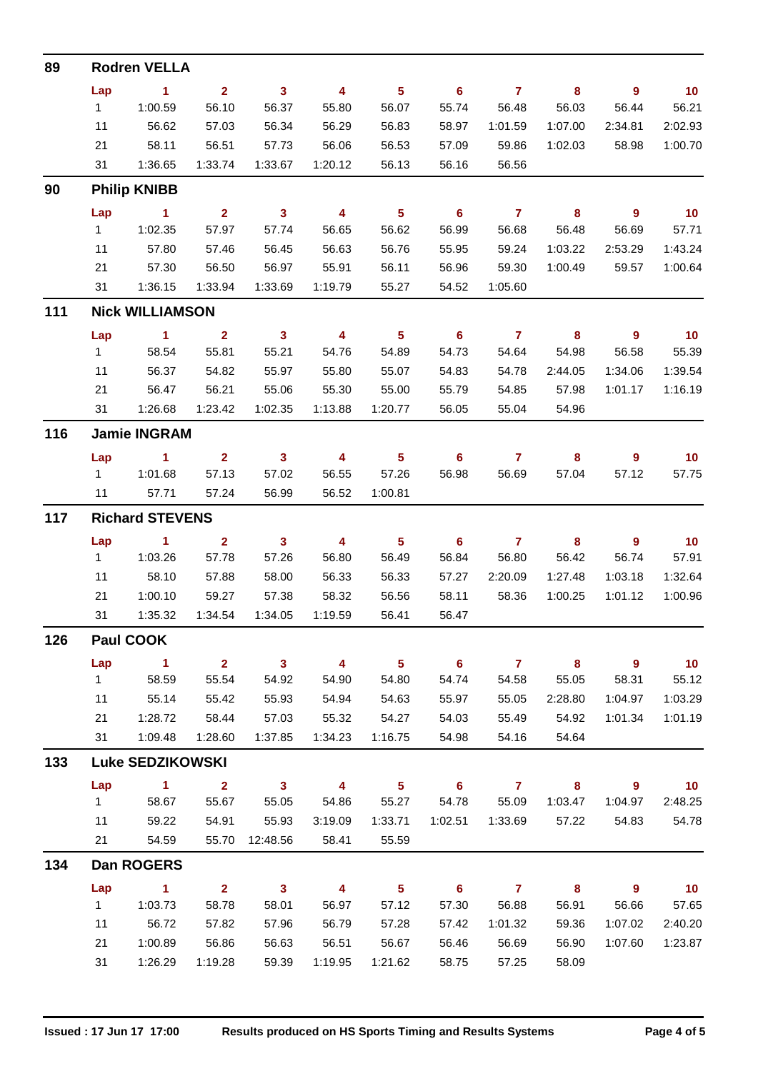| 89  |                        | <b>Rodren VELLA</b>     |                         |                         |                         |                            |                            |                     |                            |                            |                 |  |
|-----|------------------------|-------------------------|-------------------------|-------------------------|-------------------------|----------------------------|----------------------------|---------------------|----------------------------|----------------------------|-----------------|--|
|     | Lap                    | $\blacksquare$ 1        | $\overline{2}$          | $\mathbf{3}$            | $\overline{4}$          | $5\phantom{.0}$            | 6                          | $\overline{7}$      | 8                          | $\overline{9}$             | 10              |  |
|     | $1 -$                  | 1:00.59                 | 56.10                   | 56.37                   | 55.80                   | 56.07                      | 55.74                      | 56.48               | 56.03                      | 56.44                      | 56.21           |  |
|     | 11                     | 56.62                   | 57.03                   | 56.34                   | 56.29                   | 56.83                      | 58.97                      | 1:01.59             | 1:07.00                    | 2:34.81                    | 2:02.93         |  |
|     | 21                     | 58.11                   | 56.51                   | 57.73                   | 56.06                   | 56.53                      | 57.09                      | 59.86               | 1:02.03                    | 58.98                      | 1:00.70         |  |
|     | 31                     | 1:36.65                 | 1:33.74                 | 1:33.67                 | 1:20.12                 | 56.13                      | 56.16                      | 56.56               |                            |                            |                 |  |
| 90  |                        | <b>Philip KNIBB</b>     |                         |                         |                         |                            |                            |                     |                            |                            |                 |  |
|     | Lap                    | $\sim$ 1                | $\overline{2}$          | 3 <sup>1</sup>          | $\overline{4}$          | $\overline{\phantom{0}}$ 5 | $-6$                       | $\overline{7}$      | 8                          | - 9                        | 10              |  |
|     | $1 -$                  | 1:02.35                 | 57.97                   | 57.74                   | 56.65                   | 56.62                      | 56.99                      | 56.68               | 56.48                      | 56.69                      | 57.71           |  |
|     | 11                     | 57.80                   | 57.46                   | 56.45                   | 56.63                   | 56.76                      | 55.95                      | 59.24               | 1:03.22                    | 2:53.29                    | 1:43.24         |  |
|     | 21                     | 57.30                   | 56.50                   | 56.97                   | 55.91                   | 56.11                      | 56.96                      | 59.30               | 1:00.49                    | 59.57                      | 1:00.64         |  |
|     | 31                     | 1:36.15                 | 1:33.94                 | 1:33.69                 | 1:19.79                 | 55.27                      | 54.52                      | 1:05.60             |                            |                            |                 |  |
| 111 |                        | <b>Nick WILLIAMSON</b>  |                         |                         |                         |                            |                            |                     |                            |                            |                 |  |
|     | Lap                    | $\blacksquare$ 1        | $\overline{2}$          | $\mathbf{3}$            | $\overline{4}$          | $\overline{\phantom{0}}$ 5 | $\overline{\phantom{0}}$ 6 | $\overline{7}$      | $\overline{\phantom{a}}$ 8 | - 9                        | 10              |  |
|     | $1 \quad$              | 58.54                   | 55.81                   | 55.21                   | 54.76                   | 54.89                      | 54.73                      | 54.64               | 54.98                      | 56.58                      | 55.39           |  |
|     | 11                     | 56.37                   | 54.82                   | 55.97                   | 55.80                   | 55.07                      | 54.83                      | 54.78               | 2:44.05                    | 1:34.06                    | 1:39.54         |  |
|     | 21                     | 56.47                   | 56.21                   | 55.06                   | 55.30                   | 55.00                      | 55.79                      | 54.85               | 57.98                      | 1:01.17                    | 1:16.19         |  |
|     | 31                     | 1:26.68                 | 1:23.42                 | 1:02.35                 | 1:13.88                 | 1:20.77                    | 56.05                      | 55.04               | 54.96                      |                            |                 |  |
| 116 |                        | <b>Jamie INGRAM</b>     |                         |                         |                         |                            |                            |                     |                            |                            |                 |  |
|     | Lap                    | $\blacktriangleleft$    | $\overline{2}$          | $\mathbf{3}$            | $\overline{4}$          | $\sqrt{5}$                 | 6                          | $\mathbf{7}$        | 8                          | $\overline{9}$             | 10              |  |
|     | $1 \quad$              | 1:01.68                 | 57.13                   | 57.02                   | 56.55                   | 57.26                      | 56.98                      | 56.69               | 57.04                      | 57.12                      | 57.75           |  |
|     | 11                     | 57.71                   | 57.24                   | 56.99                   | 56.52                   | 1:00.81                    |                            |                     |                            |                            |                 |  |
| 117 | <b>Richard STEVENS</b> |                         |                         |                         |                         |                            |                            |                     |                            |                            |                 |  |
|     | Lap                    | $\sim$ 1                | $\overline{2}$          | $\mathbf{3}$            | $\overline{4}$          | $5\phantom{.0}$            | 6                          | $\mathbf{7}$        | 8                          | $\overline{9}$             | 10              |  |
|     | $1 \quad \blacksquare$ | 1:03.26                 | 57.78                   | 57.26                   | 56.80                   | 56.49                      | 56.84                      | 56.80               | 56.42                      | 56.74                      | 57.91           |  |
|     | 11                     | 58.10                   | 57.88                   | 58.00                   | 56.33                   | 56.33                      | 57.27                      | 2:20.09             | 1:27.48                    | 1:03.18                    | 1:32.64         |  |
|     | 21                     | 1:00.10                 | 59.27                   | 57.38                   | 58.32                   | 56.56                      | 58.11                      | 58.36               | 1:00.25                    | 1:01.12                    | 1:00.96         |  |
|     | 31                     | 1:35.32                 | 1:34.54                 | 1:34.05                 | 1:19.59                 | 56.41                      | 56.47                      |                     |                            |                            |                 |  |
| 126 | <b>Paul COOK</b>       |                         |                         |                         |                         |                            |                            |                     |                            |                            |                 |  |
|     | Lap                    | $\blacksquare$ 1        | $2^{\circ}$             | $\overline{\mathbf{3}}$ | $\overline{\mathbf{4}}$ | $\overline{\phantom{0}}$ 5 | $\overline{\phantom{a}}$ 6 | $\overline{7}$      | $\overline{\mathbf{8}}$    | $\overline{\phantom{a}}$   | 10              |  |
|     | $1 \quad$              | 58.59                   | 55.54                   | 54.92                   | 54.90                   | 54.80                      | 54.74                      | 54.58               | 55.05                      | 58.31                      | 55.12           |  |
|     | 11                     | 55.14                   | 55.42                   | 55.93                   | 54.94                   | 54.63                      | 55.97                      | 55.05               | 2:28.80                    | 1:04.97                    | 1:03.29         |  |
|     | 21                     | 1:28.72                 | 58.44                   | 57.03                   | 55.32                   | 54.27                      | 54.03                      | 55.49               | 54.92                      | 1:01.34                    | 1:01.19         |  |
|     | 31                     | 1:09.48                 | 1:28.60                 | 1:37.85                 | 1:34.23                 | 1:16.75                    | 54.98                      | 54.16               | 54.64                      |                            |                 |  |
| 133 |                        | <b>Luke SEDZIKOWSKI</b> |                         |                         |                         |                            |                            |                     |                            |                            |                 |  |
|     | Lap                    | $\sim$ 1                | $\overline{\mathbf{2}}$ | $\overline{\mathbf{3}}$ | $\overline{\mathbf{4}}$ | $\overline{\phantom{0}}$ 5 |                            | $6 \qquad \qquad 7$ | $\overline{\mathbf{8}}$    | $\overline{\phantom{a}}$ 9 | $\overline{10}$ |  |
|     | 1                      | 58.67                   | 55.67                   | 55.05                   | 54.86                   | 55.27                      | 54.78                      | 55.09               | 1:03.47                    | 1:04.97                    | 2:48.25         |  |
|     | 11                     | 59.22                   | 54.91                   | 55.93                   | 3:19.09                 | 1:33.71                    | 1:02.51                    | 1:33.69             | 57.22                      | 54.83                      | 54.78           |  |
|     | 21                     | 54.59                   |                         | 55.70 12:48.56          | 58.41                   | 55.59                      |                            |                     |                            |                            |                 |  |
| 134 |                        | <b>Dan ROGERS</b>       |                         |                         |                         |                            |                            |                     |                            |                            |                 |  |
|     | Lap                    | $\sim$ 1                | $\overline{\mathbf{2}}$ | $\overline{\mathbf{3}}$ | $\overline{\mathbf{4}}$ | $\overline{\phantom{1}}$ 5 | $-6$                       | $\overline{7}$      | 8                          | $\overline{\phantom{a}}$   | 10              |  |
|     | $1 \quad$              | 1:03.73                 | 58.78                   | 58.01                   | 56.97                   | 57.12                      | 57.30                      | 56.88               | 56.91                      | 56.66                      | 57.65           |  |
|     | 11                     | 56.72                   | 57.82                   | 57.96                   | 56.79                   | 57.28                      | 57.42                      | 1:01.32             | 59.36                      | 1:07.02                    | 2:40.20         |  |
|     | 21                     | 1:00.89                 | 56.86                   | 56.63                   | 56.51                   | 56.67                      | 56.46                      | 56.69               | 56.90                      | 1:07.60                    | 1:23.87         |  |
|     | 31                     | 1:26.29                 | 1:19.28                 | 59.39                   | 1:19.95                 | 1:21.62                    | 58.75                      | 57.25               | 58.09                      |                            |                 |  |